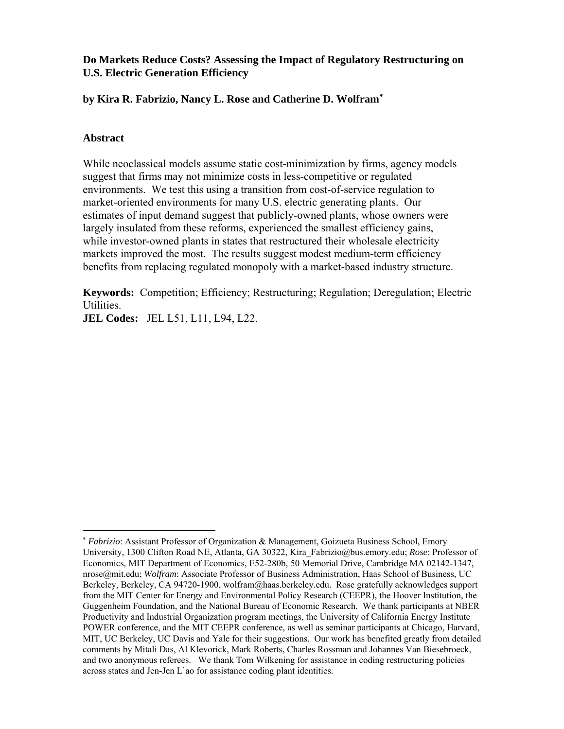# **Do Markets Reduce Costs? Assessing the Impact of Regulatory Restructuring on U.S. Electric Generation Efficiency**

# **by Kira R. Fabrizio, Nancy L. Rose and Catherine D. Wolfram**<sup>∗</sup>

## **Abstract**

<u>.</u>

While neoclassical models assume static cost-minimization by firms, agency models suggest that firms may not minimize costs in less-competitive or regulated environments. We test this using a transition from cost-of-service regulation to market-oriented environments for many U.S. electric generating plants. Our estimates of input demand suggest that publicly-owned plants, whose owners were largely insulated from these reforms, experienced the smallest efficiency gains, while investor-owned plants in states that restructured their wholesale electricity markets improved the most. The results suggest modest medium-term efficiency benefits from replacing regulated monopoly with a market-based industry structure.

**Keywords:** Competition; Efficiency; Restructuring; Regulation; Deregulation; Electric Utilities.

**JEL Codes:** JEL L51, L11, L94, L22.

<sup>∗</sup> *Fabrizio*: Assistant Professor of Organization & Management, Goizueta Business School, Emory University, 1300 Clifton Road NE, Atlanta, GA 30322, Kira\_Fabrizio@bus.emory.edu; *Rose*: Professor of Economics, MIT Department of Economics, E52-280b, 50 Memorial Drive, Cambridge MA 02142-1347, nrose@mit.edu; *Wolfram*: Associate Professor of Business Administration, Haas School of Business, UC Berkeley, Berkeley, CA 94720-1900, wolfram@haas.berkeley.edu. Rose gratefully acknowledges support from the MIT Center for Energy and Environmental Policy Research (CEEPR), the Hoover Institution, the Guggenheim Foundation, and the National Bureau of Economic Research. We thank participants at NBER Productivity and Industrial Organization program meetings, the University of California Energy Institute POWER conference, and the MIT CEEPR conference, as well as seminar participants at Chicago, Harvard, MIT, UC Berkeley, UC Davis and Yale for their suggestions. Our work has benefited greatly from detailed comments by Mitali Das, Al Klevorick, Mark Roberts, Charles Rossman and Johannes Van Biesebroeck, and two anonymous referees. We thank Tom Wilkening for assistance in coding restructuring policies across states and Jen-Jen L`ao for assistance coding plant identities.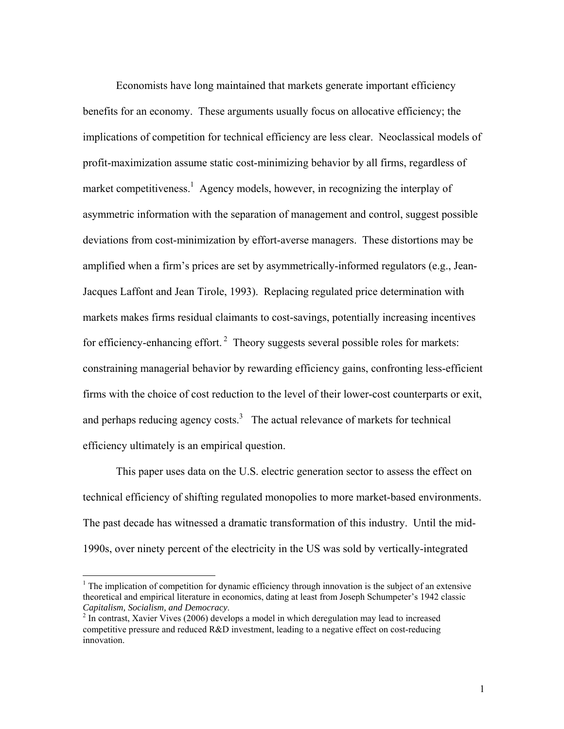Economists have long maintained that markets generate important efficiency benefits for an economy. These arguments usually focus on allocative efficiency; the implications of competition for technical efficiency are less clear. Neoclassical models of profit-maximization assume static cost-minimizing behavior by all firms, regardless of market competitiveness.<sup>1</sup> Agency models, however, in recognizing the interplay of asymmetric information with the separation of management and control, suggest possible deviations from cost-minimization by effort-averse managers. These distortions may be amplified when a firm's prices are set by asymmetrically-informed regulators (e.g., Jean-Jacques Laffont and Jean Tirole, 1993). Replacing regulated price determination with markets makes firms residual claimants to cost-savings, potentially increasing incentives for efficiency-enhancing effort.<sup>2</sup> Theory suggests several possible roles for markets: constraining managerial behavior by rewarding efficiency gains, confronting less-efficient firms with the choice of cost reduction to the level of their lower-cost counterparts or exit, and perhaps reducing agency costs.<sup>3</sup> The actual relevance of markets for technical efficiency ultimately is an empirical question.

This paper uses data on the U.S. electric generation sector to assess the effect on technical efficiency of shifting regulated monopolies to more market-based environments. The past decade has witnessed a dramatic transformation of this industry. Until the mid-1990s, over ninety percent of the electricity in the US was sold by vertically-integrated

<u>.</u>

 $1$ <sup>1</sup> The implication of competition for dynamic efficiency through innovation is the subject of an extensive theoretical and empirical literature in economics, dating at least from Joseph Schumpeter's 1942 classic *Capitalism, Socialism, and Democracy*.

 $2 \text{ In contrast, Xavier Vives (2006) develops a model in which deregulation may lead to increased.}$ competitive pressure and reduced R&D investment, leading to a negative effect on cost-reducing innovation.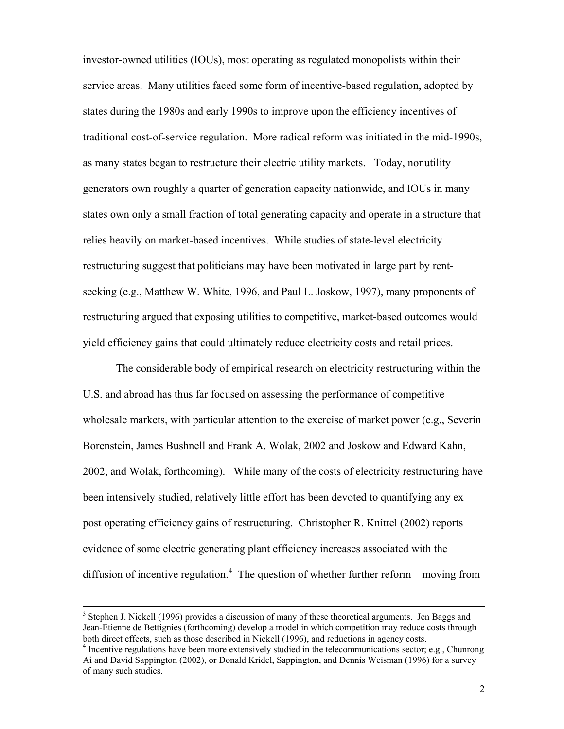investor-owned utilities (IOUs), most operating as regulated monopolists within their service areas. Many utilities faced some form of incentive-based regulation, adopted by states during the 1980s and early 1990s to improve upon the efficiency incentives of traditional cost-of-service regulation. More radical reform was initiated in the mid-1990s, as many states began to restructure their electric utility markets. Today, nonutility generators own roughly a quarter of generation capacity nationwide, and IOUs in many states own only a small fraction of total generating capacity and operate in a structure that relies heavily on market-based incentives. While studies of state-level electricity restructuring suggest that politicians may have been motivated in large part by rentseeking (e.g., Matthew W. White, 1996, and Paul L. Joskow, 1997), many proponents of restructuring argued that exposing utilities to competitive, market-based outcomes would yield efficiency gains that could ultimately reduce electricity costs and retail prices.

The considerable body of empirical research on electricity restructuring within the U.S. and abroad has thus far focused on assessing the performance of competitive wholesale markets, with particular attention to the exercise of market power (e.g., Severin Borenstein, James Bushnell and Frank A. Wolak, 2002 and Joskow and Edward Kahn, 2002, and Wolak, forthcoming). While many of the costs of electricity restructuring have been intensively studied, relatively little effort has been devoted to quantifying any ex post operating efficiency gains of restructuring. Christopher R. Knittel (2002) reports evidence of some electric generating plant efficiency increases associated with the diffusion of incentive regulation.<sup>4</sup> The question of whether further reform—moving from

<sup>&</sup>lt;sup>3</sup>  $3$  Stephen J. Nickell (1996) provides a discussion of many of these theoretical arguments. Jen Baggs and Jean-Etienne de Bettignies (forthcoming) develop a model in which competition may reduce costs through both direct effects, such as those described in Nickell (1996), and reductions in agency costs.

 $\frac{4}{1}$  Incentive regulations have been more extensively studied in the telecommunications sector; e.g., Chunrong Ai and David Sappington (2002), or Donald Kridel, Sappington, and Dennis Weisman (1996) for a survey of many such studies.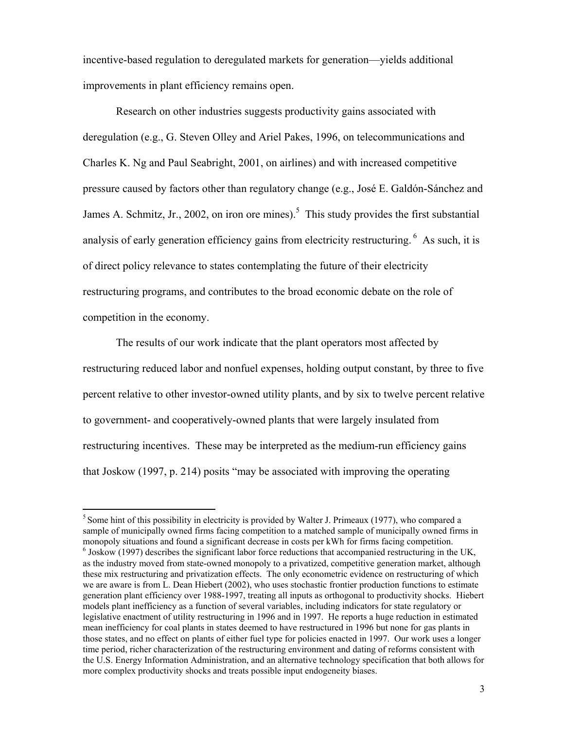incentive-based regulation to deregulated markets for generation—yields additional improvements in plant efficiency remains open.

Research on other industries suggests productivity gains associated with deregulation (e.g., G. Steven Olley and Ariel Pakes, 1996, on telecommunications and Charles K. Ng and Paul Seabright, 2001, on airlines) and with increased competitive pressure caused by factors other than regulatory change (e.g., José E. Galdón-Sánchez and James A. Schmitz, Jr., 2002, on iron ore mines).<sup>5</sup> This study provides the first substantial analysis of early generation efficiency gains from electricity restructuring.  $6\text{ As such, it is}$ of direct policy relevance to states contemplating the future of their electricity restructuring programs, and contributes to the broad economic debate on the role of competition in the economy.

The results of our work indicate that the plant operators most affected by restructuring reduced labor and nonfuel expenses, holding output constant, by three to five percent relative to other investor-owned utility plants, and by six to twelve percent relative to government- and cooperatively-owned plants that were largely insulated from restructuring incentives. These may be interpreted as the medium-run efficiency gains that Joskow (1997, p. 214) posits "may be associated with improving the operating

<sup>&</sup>lt;sup>5</sup> Some hint of this possibility in electricity is provided by Walter J. Primeaux (1977), who compared a sample of municipally owned firms facing competition to a matched sample of municipally owned firms in monopoly situations and found a significant decrease in costs per kWh for firms facing competition. 6  $\delta$  Joskow (1997) describes the significant labor force reductions that accompanied restructuring in the UK, as the industry moved from state-owned monopoly to a privatized, competitive generation market, although these mix restructuring and privatization effects. The only econometric evidence on restructuring of which we are aware is from L. Dean Hiebert (2002), who uses stochastic frontier production functions to estimate generation plant efficiency over 1988-1997, treating all inputs as orthogonal to productivity shocks. Hiebert models plant inefficiency as a function of several variables, including indicators for state regulatory or legislative enactment of utility restructuring in 1996 and in 1997. He reports a huge reduction in estimated mean inefficiency for coal plants in states deemed to have restructured in 1996 but none for gas plants in those states, and no effect on plants of either fuel type for policies enacted in 1997. Our work uses a longer time period, richer characterization of the restructuring environment and dating of reforms consistent with the U.S. Energy Information Administration, and an alternative technology specification that both allows for more complex productivity shocks and treats possible input endogeneity biases.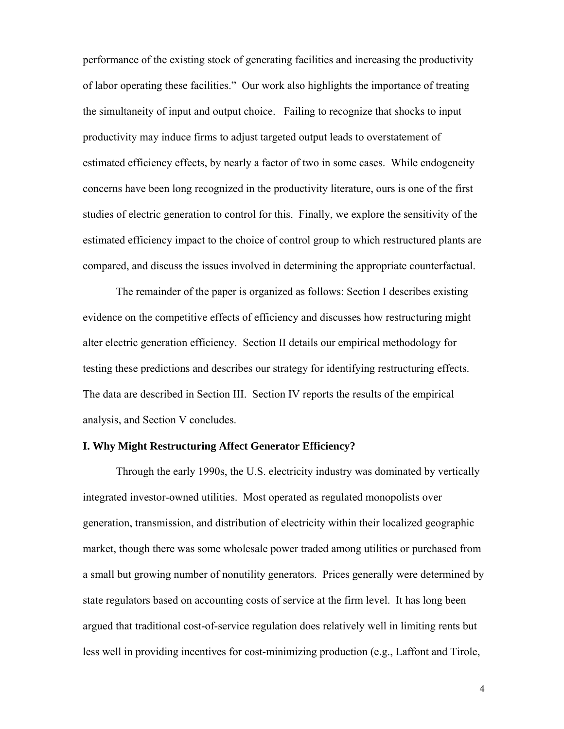performance of the existing stock of generating facilities and increasing the productivity of labor operating these facilities." Our work also highlights the importance of treating the simultaneity of input and output choice. Failing to recognize that shocks to input productivity may induce firms to adjust targeted output leads to overstatement of estimated efficiency effects, by nearly a factor of two in some cases. While endogeneity concerns have been long recognized in the productivity literature, ours is one of the first studies of electric generation to control for this. Finally, we explore the sensitivity of the estimated efficiency impact to the choice of control group to which restructured plants are compared, and discuss the issues involved in determining the appropriate counterfactual.

 The remainder of the paper is organized as follows: Section I describes existing evidence on the competitive effects of efficiency and discusses how restructuring might alter electric generation efficiency. Section II details our empirical methodology for testing these predictions and describes our strategy for identifying restructuring effects. The data are described in Section III. Section IV reports the results of the empirical analysis, and Section V concludes.

### **I. Why Might Restructuring Affect Generator Efficiency?**

Through the early 1990s, the U.S. electricity industry was dominated by vertically integrated investor-owned utilities. Most operated as regulated monopolists over generation, transmission, and distribution of electricity within their localized geographic market, though there was some wholesale power traded among utilities or purchased from a small but growing number of nonutility generators. Prices generally were determined by state regulators based on accounting costs of service at the firm level. It has long been argued that traditional cost-of-service regulation does relatively well in limiting rents but less well in providing incentives for cost-minimizing production (e.g., Laffont and Tirole,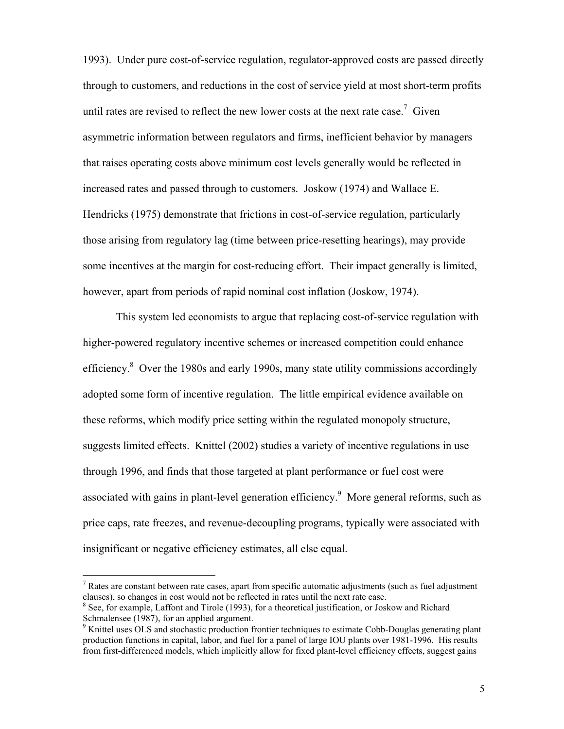1993). Under pure cost-of-service regulation, regulator-approved costs are passed directly through to customers, and reductions in the cost of service yield at most short-term profits until rates are revised to reflect the new lower costs at the next rate case.<sup>7</sup> Given asymmetric information between regulators and firms, inefficient behavior by managers that raises operating costs above minimum cost levels generally would be reflected in increased rates and passed through to customers. Joskow (1974) and Wallace E. Hendricks (1975) demonstrate that frictions in cost-of-service regulation, particularly those arising from regulatory lag (time between price-resetting hearings), may provide some incentives at the margin for cost-reducing effort. Their impact generally is limited, however, apart from periods of rapid nominal cost inflation (Joskow, 1974).

This system led economists to argue that replacing cost-of-service regulation with higher-powered regulatory incentive schemes or increased competition could enhance efficiency.<sup>8</sup> Over the 1980s and early 1990s, many state utility commissions accordingly adopted some form of incentive regulation. The little empirical evidence available on these reforms, which modify price setting within the regulated monopoly structure, suggests limited effects. Knittel (2002) studies a variety of incentive regulations in use through 1996, and finds that those targeted at plant performance or fuel cost were associated with gains in plant-level generation efficiency.<sup>9</sup> More general reforms, such as price caps, rate freezes, and revenue-decoupling programs, typically were associated with insignificant or negative efficiency estimates, all else equal.

 $<sup>7</sup>$  Rates are constant between rate cases, apart from specific automatic adjustments (such as fuel adjustment</sup> clauses), so changes in cost would not be reflected in rates until the next rate case.

<sup>&</sup>lt;sup>8</sup> See, for example, Laffont and Tirole (1993), for a theoretical justification, or Joskow and Richard Schmalensee (1987), for an applied argument.

<sup>&</sup>lt;sup>9</sup> Knittel uses OLS and stochastic production frontier techniques to estimate Cobb-Douglas generating plant production functions in capital, labor, and fuel for a panel of large IOU plants over 1981-1996. His results from first-differenced models, which implicitly allow for fixed plant-level efficiency effects, suggest gains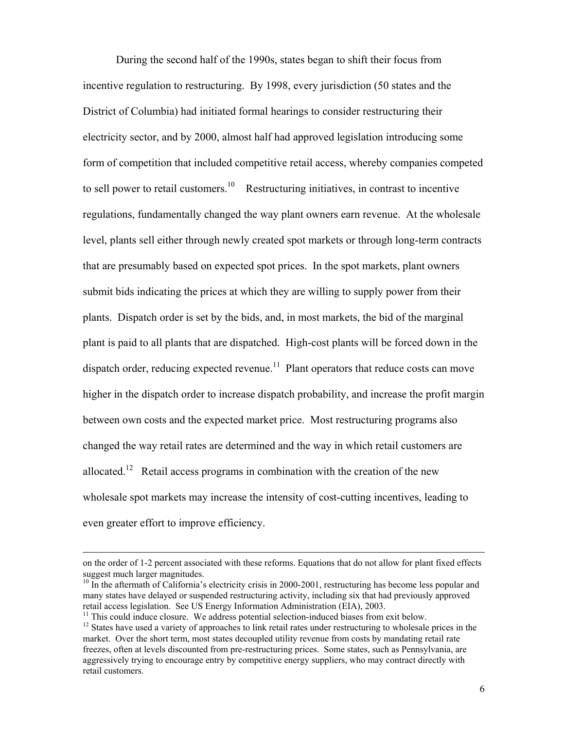During the second half of the 1990s, states began to shift their focus from incentive regulation to restructuring. By 1998, every jurisdiction (50 states and the District of Columbia) had initiated formal hearings to consider restructuring their electricity sector, and by 2000, almost half had approved legislation introducing some form of competition that included competitive retail access, whereby companies competed to sell power to retail customers.<sup>10</sup> Restructuring initiatives, in contrast to incentive regulations, fundamentally changed the way plant owners earn revenue. At the wholesale level, plants sell either through newly created spot markets or through long-term contracts that are presumably based on expected spot prices. In the spot markets, plant owners submit bids indicating the prices at which they are willing to supply power from their plants. Dispatch order is set by the bids, and, in most markets, the bid of the marginal plant is paid to all plants that are dispatched. High-cost plants will be forced down in the dispatch order, reducing expected revenue.<sup>11</sup> Plant operators that reduce costs can move higher in the dispatch order to increase dispatch probability, and increase the profit margin between own costs and the expected market price. Most restructuring programs also changed the way retail rates are determined and the way in which retail customers are allocated.<sup>12</sup> Retail access programs in combination with the creation of the new wholesale spot markets may increase the intensity of cost-cutting incentives, leading to even greater effort to improve efficiency.

on the order of 1-2 percent associated with these reforms. Equations that do not allow for plant fixed effects suggest much larger magnitudes.

 $10$  In the aftermath of California's electricity crisis in 2000-2001, restructuring has become less popular and many states have delayed or suspended restructuring activity, including six that had previously approved retail access legislation. See US Energy Information Administration (EIA), 2003.<br><sup>11</sup> This could induce closure. We address potential selection-induced biases from exit below.

<sup>&</sup>lt;sup>12</sup> States have used a variety of approaches to link retail rates under restructuring to wholesale prices in the market. Over the short term, most states decoupled utility revenue from costs by mandating retail rate freezes, often at levels discounted from pre-restructuring prices. Some states, such as Pennsylvania, are aggressively trying to encourage entry by competitive energy suppliers, who may contract directly with retail customers.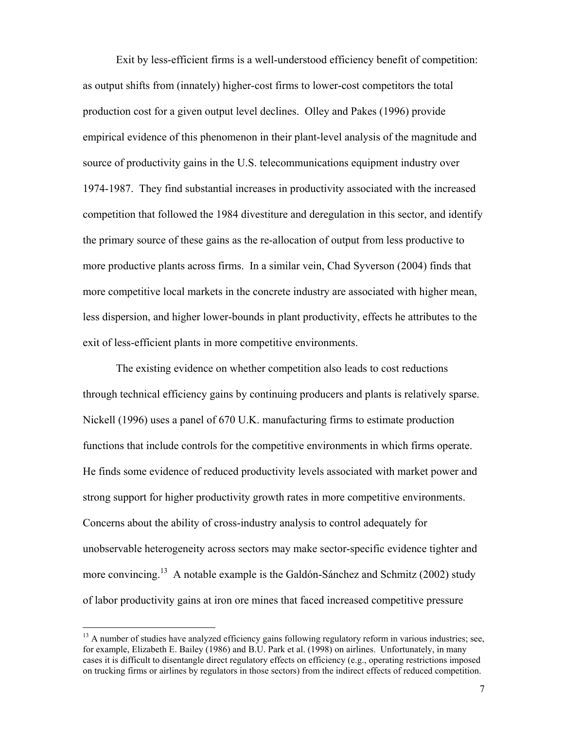Exit by less-efficient firms is a well-understood efficiency benefit of competition: as output shifts from (innately) higher-cost firms to lower-cost competitors the total production cost for a given output level declines. Olley and Pakes (1996) provide empirical evidence of this phenomenon in their plant-level analysis of the magnitude and source of productivity gains in the U.S. telecommunications equipment industry over 1974-1987. They find substantial increases in productivity associated with the increased competition that followed the 1984 divestiture and deregulation in this sector, and identify the primary source of these gains as the re-allocation of output from less productive to more productive plants across firms. In a similar vein, Chad Syverson (2004) finds that more competitive local markets in the concrete industry are associated with higher mean, less dispersion, and higher lower-bounds in plant productivity, effects he attributes to the exit of less-efficient plants in more competitive environments.

 The existing evidence on whether competition also leads to cost reductions through technical efficiency gains by continuing producers and plants is relatively sparse. Nickell (1996) uses a panel of 670 U.K. manufacturing firms to estimate production functions that include controls for the competitive environments in which firms operate. He finds some evidence of reduced productivity levels associated with market power and strong support for higher productivity growth rates in more competitive environments. Concerns about the ability of cross-industry analysis to control adequately for unobservable heterogeneity across sectors may make sector-specific evidence tighter and more convincing.<sup>13</sup> A notable example is the Galdón-Sánchez and Schmitz (2002) study of labor productivity gains at iron ore mines that faced increased competitive pressure

<sup>&</sup>lt;sup>13</sup> A number of studies have analyzed efficiency gains following regulatory reform in various industries; see, for example, Elizabeth E. Bailey (1986) and B.U. Park et al. (1998) on airlines. Unfortunately, in many cases it is difficult to disentangle direct regulatory effects on efficiency (e.g., operating restrictions imposed on trucking firms or airlines by regulators in those sectors) from the indirect effects of reduced competition.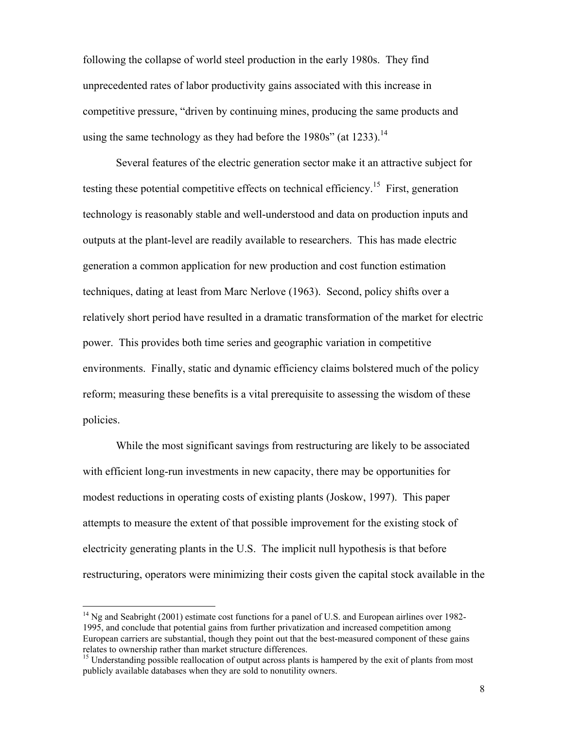following the collapse of world steel production in the early 1980s. They find unprecedented rates of labor productivity gains associated with this increase in competitive pressure, "driven by continuing mines, producing the same products and using the same technology as they had before the  $1980s$ " (at 1233).<sup>14</sup>

Several features of the electric generation sector make it an attractive subject for testing these potential competitive effects on technical efficiency.<sup>15</sup> First, generation technology is reasonably stable and well-understood and data on production inputs and outputs at the plant-level are readily available to researchers. This has made electric generation a common application for new production and cost function estimation techniques, dating at least from Marc Nerlove (1963). Second, policy shifts over a relatively short period have resulted in a dramatic transformation of the market for electric power. This provides both time series and geographic variation in competitive environments. Finally, static and dynamic efficiency claims bolstered much of the policy reform; measuring these benefits is a vital prerequisite to assessing the wisdom of these policies.

 While the most significant savings from restructuring are likely to be associated with efficient long-run investments in new capacity, there may be opportunities for modest reductions in operating costs of existing plants (Joskow, 1997). This paper attempts to measure the extent of that possible improvement for the existing stock of electricity generating plants in the U.S. The implicit null hypothesis is that before restructuring, operators were minimizing their costs given the capital stock available in the

<sup>&</sup>lt;sup>14</sup> Ng and Seabright (2001) estimate cost functions for a panel of U.S. and European airlines over 1982-1995, and conclude that potential gains from further privatization and increased competition among European carriers are substantial, though they point out that the best-measured component of these gains relates to ownership rather than market structure differences.<br><sup>15</sup> Understanding possible reallocation of output across plants is hampered by the exit of plants from most

publicly available databases when they are sold to nonutility owners.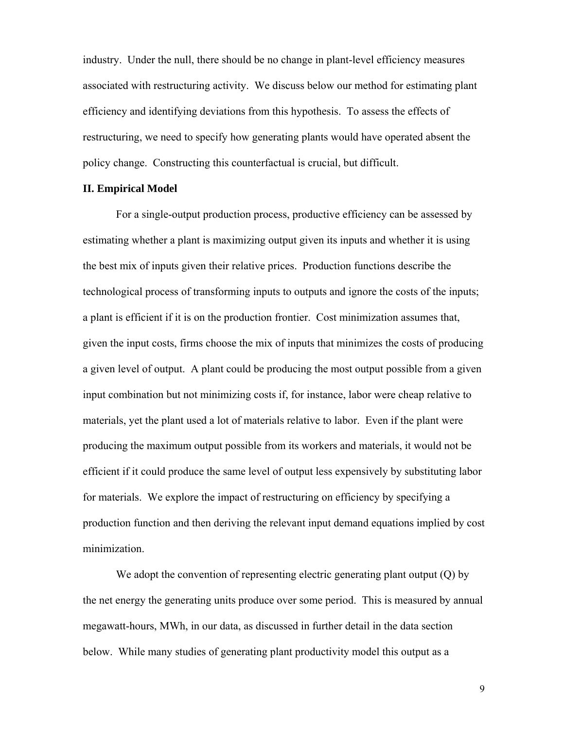industry. Under the null, there should be no change in plant-level efficiency measures associated with restructuring activity. We discuss below our method for estimating plant efficiency and identifying deviations from this hypothesis. To assess the effects of restructuring, we need to specify how generating plants would have operated absent the policy change. Constructing this counterfactual is crucial, but difficult.

### **II. Empirical Model**

 For a single-output production process, productive efficiency can be assessed by estimating whether a plant is maximizing output given its inputs and whether it is using the best mix of inputs given their relative prices. Production functions describe the technological process of transforming inputs to outputs and ignore the costs of the inputs; a plant is efficient if it is on the production frontier. Cost minimization assumes that, given the input costs, firms choose the mix of inputs that minimizes the costs of producing a given level of output. A plant could be producing the most output possible from a given input combination but not minimizing costs if, for instance, labor were cheap relative to materials, yet the plant used a lot of materials relative to labor. Even if the plant were producing the maximum output possible from its workers and materials, it would not be efficient if it could produce the same level of output less expensively by substituting labor for materials. We explore the impact of restructuring on efficiency by specifying a production function and then deriving the relevant input demand equations implied by cost minimization.

We adopt the convention of representing electric generating plant output (Q) by the net energy the generating units produce over some period. This is measured by annual megawatt-hours, MWh, in our data, as discussed in further detail in the data section below. While many studies of generating plant productivity model this output as a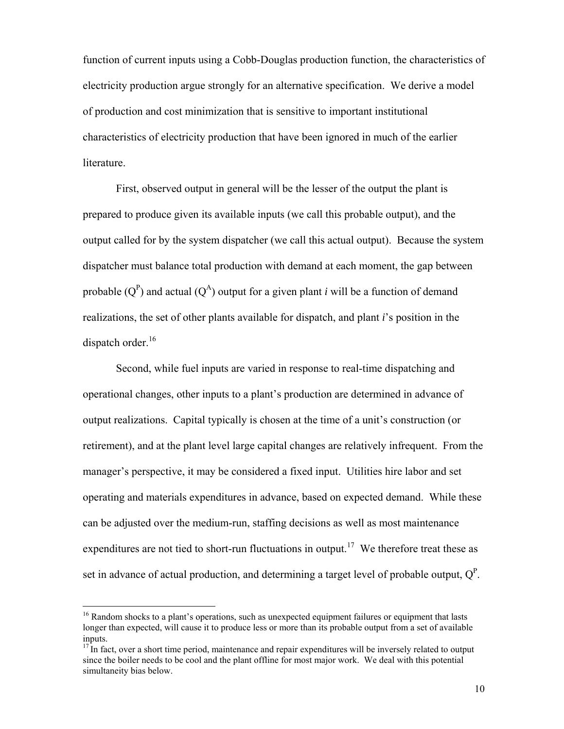function of current inputs using a Cobb-Douglas production function, the characteristics of electricity production argue strongly for an alternative specification. We derive a model of production and cost minimization that is sensitive to important institutional characteristics of electricity production that have been ignored in much of the earlier literature.

 First, observed output in general will be the lesser of the output the plant is prepared to produce given its available inputs (we call this probable output), and the output called for by the system dispatcher (we call this actual output). Because the system dispatcher must balance total production with demand at each moment, the gap between probable  $(Q^P)$  and actual  $(Q^A)$  output for a given plant *i* will be a function of demand realizations, the set of other plants available for dispatch, and plant *i*'s position in the dispatch order. $16$ 

 Second, while fuel inputs are varied in response to real-time dispatching and operational changes, other inputs to a plant's production are determined in advance of output realizations. Capital typically is chosen at the time of a unit's construction (or retirement), and at the plant level large capital changes are relatively infrequent. From the manager's perspective, it may be considered a fixed input. Utilities hire labor and set operating and materials expenditures in advance, based on expected demand. While these can be adjusted over the medium-run, staffing decisions as well as most maintenance expenditures are not tied to short-run fluctuations in output.<sup>17</sup> We therefore treat these as set in advance of actual production, and determining a target level of probable output,  $Q^P$ .

<sup>&</sup>lt;sup>16</sup> Random shocks to a plant's operations, such as unexpected equipment failures or equipment that lasts longer than expected, will cause it to produce less or more than its probable output from a set of available inputs.

 $17$  In fact, over a short time period, maintenance and repair expenditures will be inversely related to output since the boiler needs to be cool and the plant offline for most major work. We deal with this potential simultaneity bias below.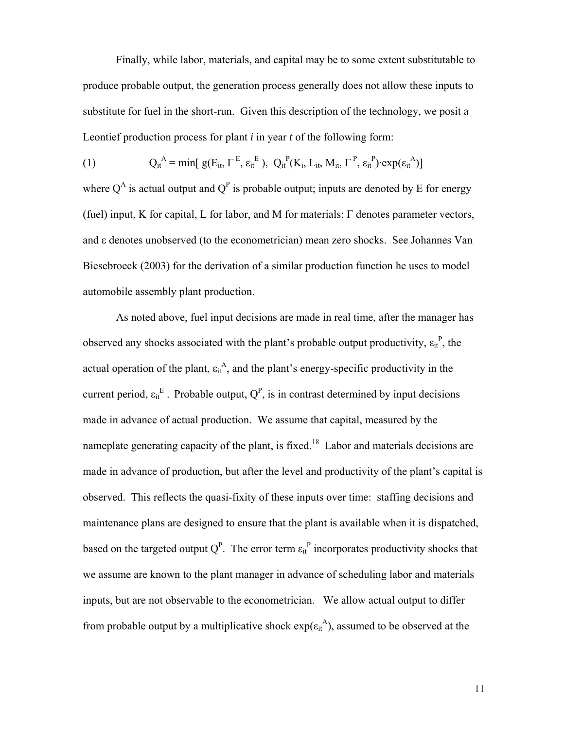Finally, while labor, materials, and capital may be to some extent substitutable to produce probable output, the generation process generally does not allow these inputs to substitute for fuel in the short-run. Given this description of the technology, we posit a Leontief production process for plant *i* in year *t* of the following form:

(1) 
$$
Q_{it}^{A} = \min[ g(E_{it}, \Gamma^{E}, \varepsilon_{it}^{E}), Q_{it}^{P}(K_{i}, L_{it}, M_{it}, \Gamma^{P}, \varepsilon_{it}^{P}) \cdot exp(\varepsilon_{it}^{A})]
$$

where  $Q^A$  is actual output and  $Q^P$  is probable output; inputs are denoted by E for energy (fuel) input, K for capital, L for labor, and M for materials; Γ denotes parameter vectors, and ε denotes unobserved (to the econometrician) mean zero shocks. See Johannes Van Biesebroeck (2003) for the derivation of a similar production function he uses to model automobile assembly plant production.

 As noted above, fuel input decisions are made in real time, after the manager has observed any shocks associated with the plant's probable output productivity,  $\varepsilon_{it}^{P}$ , the actual operation of the plant,  $\varepsilon_{it}^A$ , and the plant's energy-specific productivity in the current period,  $\varepsilon_{it}^E$ . Probable output,  $Q^P$ , is in contrast determined by input decisions made in advance of actual production. We assume that capital, measured by the nameplate generating capacity of the plant, is fixed.<sup>18</sup> Labor and materials decisions are made in advance of production, but after the level and productivity of the plant's capital is observed. This reflects the quasi-fixity of these inputs over time: staffing decisions and maintenance plans are designed to ensure that the plant is available when it is dispatched, based on the targeted output  $Q^P$ . The error term  $\epsilon_{it}^P$  incorporates productivity shocks that we assume are known to the plant manager in advance of scheduling labor and materials inputs, but are not observable to the econometrician. We allow actual output to differ from probable output by a multiplicative shock  $exp(\epsilon_{it}^{A})$ , assumed to be observed at the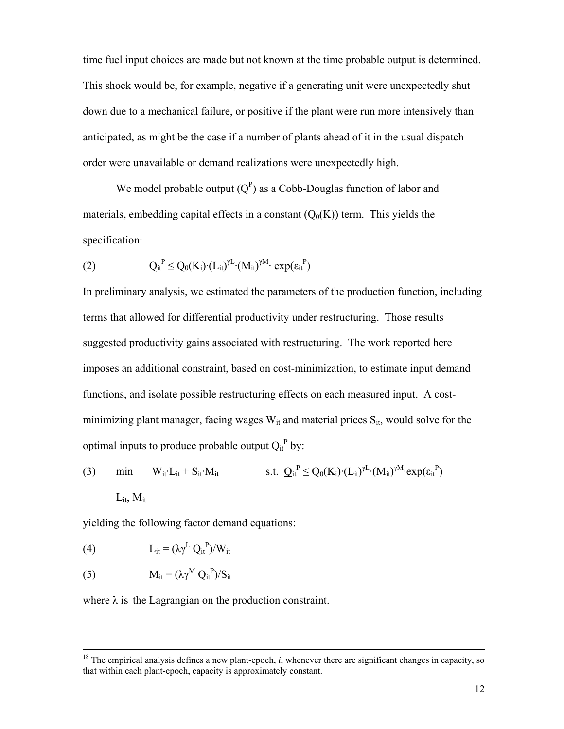time fuel input choices are made but not known at the time probable output is determined. This shock would be, for example, negative if a generating unit were unexpectedly shut down due to a mechanical failure, or positive if the plant were run more intensively than anticipated, as might be the case if a number of plants ahead of it in the usual dispatch order were unavailable or demand realizations were unexpectedly high.

We model probable output  $(Q^P)$  as a Cobb-Douglas function of labor and materials, embedding capital effects in a constant  $(Q_0(K))$  term. This yields the specification:

$$
(2) \tQ_{it}^{P} \leq Q_0(K_i) \cdot (L_{it})^{\gamma L} \cdot (M_{it})^{\gamma M} \cdot exp(\epsilon_{it}^{P})
$$

In preliminary analysis, we estimated the parameters of the production function, including terms that allowed for differential productivity under restructuring. Those results suggested productivity gains associated with restructuring. The work reported here imposes an additional constraint, based on cost-minimization, to estimate input demand functions, and isolate possible restructuring effects on each measured input. A costminimizing plant manager, facing wages  $W_{it}$  and material prices  $S_{it}$ , would solve for the optimal inputs to produce probable output  $Q_{it}^{\{P\}}$  by:

(3) min 
$$
W_{it} \cdot L_{it} + S_{it} \cdot M_{it}
$$
 s.t.  $Q_{it}^P \leq Q_0(K_i) \cdot (L_{it})^{\gamma L} \cdot (M_{it})^{\gamma M} \cdot exp(\epsilon_{it}^P)$   
 $L_{it}, M_{it}$ 

yielding the following factor demand equations:

(4) 
$$
L_{it} = (\lambda \gamma^L Q_{it}^P) / W_{it}
$$

(5) 
$$
M_{it} = (\lambda \gamma^M Q_{it}^P) / S_{it}
$$

where  $\lambda$  is the Lagrangian on the production constraint.

 $18$  The empirical analysis defines a new plant-epoch, *i*, whenever there are significant changes in capacity, so that within each plant-epoch, capacity is approximately constant.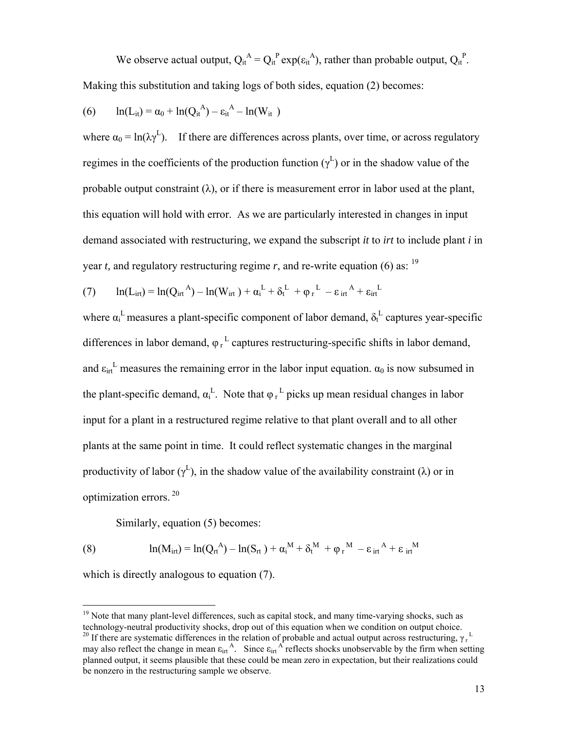We observe actual output,  $Q_{it}^A = Q_{it}^P exp(\epsilon_{it}^A)$ , rather than probable output,  $Q_{it}^P$ . Making this substitution and taking logs of both sides, equation (2) becomes:

(6) 
$$
\ln(L_{it}) = \alpha_0 + \ln(Q_{it}^{A}) - \epsilon_{it}^{A} - \ln(W_{it})
$$

where  $\alpha_0 = \ln(\lambda \gamma^L)$ . If there are differences across plants, over time, or across regulatory regimes in the coefficients of the production function  $(\gamma^L)$  or in the shadow value of the probable output constraint  $(\lambda)$ , or if there is measurement error in labor used at the plant, this equation will hold with error. As we are particularly interested in changes in input demand associated with restructuring, we expand the subscript *it* to *irt* to include plant *i* in year *t*, and regulatory restructuring regime *r*, and re-write equation (6) as: <sup>19</sup>

(7) 
$$
\ln(L_{\text{irt}}) = \ln(Q_{\text{irt}}^{A}) - \ln(W_{\text{irt}}) + \alpha_{i}^{L} + \delta_{t}^{L} + \varphi_{r}^{L} - \epsilon_{\text{irt}}^{A} + \epsilon_{\text{irt}}^{L}
$$

where  $\alpha_i^L$  measures a plant-specific component of labor demand,  $\delta_t^L$  captures year-specific differences in labor demand,  $\varphi_r^L$  captures restructuring-specific shifts in labor demand, and  $\varepsilon_{\text{int}}^L$  measures the remaining error in the labor input equation.  $\alpha_0$  is now subsumed in the plant-specific demand,  $\alpha_i^L$ . Note that  $\varphi_r^L$  picks up mean residual changes in labor input for a plant in a restructured regime relative to that plant overall and to all other plants at the same point in time. It could reflect systematic changes in the marginal productivity of labor ( $\gamma^L$ ), in the shadow value of the availability constraint ( $\lambda$ ) or in optimization errors. 20

Similarly, equation (5) becomes:

(8)  $\ln(M_{\text{irt}}) = \ln(Q_{\text{rt}}^{A}) - \ln(S_{\text{rt}}) + \alpha_{i}^{M} + \delta_{t}^{M} + \varphi_{r}^{M} - \varepsilon_{\text{irt}}^{A} + \varepsilon_{\text{irt}}^{M}$ 

which is directly analogous to equation (7).

<sup>&</sup>lt;sup>19</sup> Note that many plant-level differences, such as capital stock, and many time-varying shocks, such as technology-neutral productivity shocks, drop out of this equation when we condition on output choice. <sup>20</sup> If there are systematic differences in the relation of probable and actual output across restructuring,  $\gamma_I$ <sup>L</sup> may also reflect the change in mean  $\varepsilon_{\text{int}}^A$ . Since  $\varepsilon_{\text{int}}^A$  reflects shocks unobservable by the firm when setting planned output, it seems plausible that these could be mean zero in expectation, but their realizations could be nonzero in the restructuring sample we observe.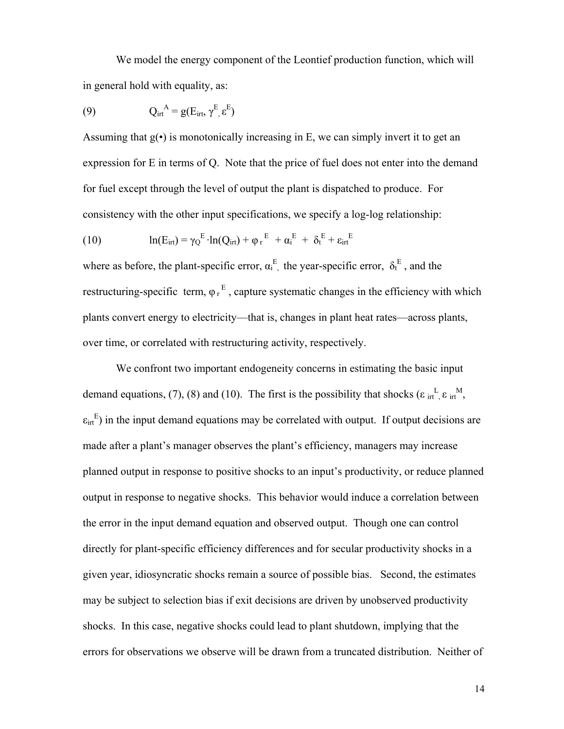We model the energy component of the Leontief production function, which will in general hold with equality, as:

(9) 
$$
Q_{\text{irt}}^{\mathbf{A}} = g(E_{\text{irt}}, \gamma^{\mathbf{E}}, \varepsilon^{\mathbf{E}})
$$

Assuming that  $g(\cdot)$  is monotonically increasing in E, we can simply invert it to get an expression for E in terms of Q. Note that the price of fuel does not enter into the demand for fuel except through the level of output the plant is dispatched to produce. For consistency with the other input specifications, we specify a log-log relationship:

(10) 
$$
\ln(E_{\text{irt}}) = \gamma_Q^{E} \cdot \ln(Q_{\text{irt}}) + \varphi_r^{E} + \alpha_i^{E} + \delta_t^{E} + \epsilon_{\text{irt}}^{E}
$$

where as before, the plant-specific error,  $\alpha_i^E$ , the year-specific error,  $\delta_t^E$ , and the restructuring-specific term,  $\varphi_r^E$ , capture systematic changes in the efficiency with which plants convert energy to electricity—that is, changes in plant heat rates—across plants, over time, or correlated with restructuring activity, respectively.

 We confront two important endogeneity concerns in estimating the basic input demand equations, (7), (8) and (10). The first is the possibility that shocks ( $\varepsilon$  in  $^L$ ,  $\varepsilon$  in<sup>M</sup>,  $\epsilon_{\text{int}}^{E}$ ) in the input demand equations may be correlated with output. If output decisions are made after a plant's manager observes the plant's efficiency, managers may increase planned output in response to positive shocks to an input's productivity, or reduce planned output in response to negative shocks. This behavior would induce a correlation between the error in the input demand equation and observed output. Though one can control directly for plant-specific efficiency differences and for secular productivity shocks in a given year, idiosyncratic shocks remain a source of possible bias. Second, the estimates may be subject to selection bias if exit decisions are driven by unobserved productivity shocks. In this case, negative shocks could lead to plant shutdown, implying that the errors for observations we observe will be drawn from a truncated distribution. Neither of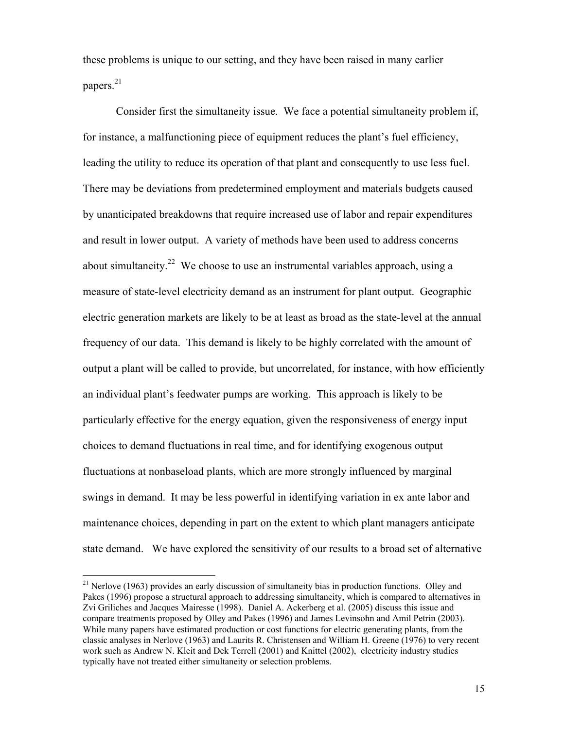these problems is unique to our setting, and they have been raised in many earlier papers.21

 Consider first the simultaneity issue. We face a potential simultaneity problem if, for instance, a malfunctioning piece of equipment reduces the plant's fuel efficiency, leading the utility to reduce its operation of that plant and consequently to use less fuel. There may be deviations from predetermined employment and materials budgets caused by unanticipated breakdowns that require increased use of labor and repair expenditures and result in lower output. A variety of methods have been used to address concerns about simultaneity.<sup>22</sup> We choose to use an instrumental variables approach, using a measure of state-level electricity demand as an instrument for plant output. Geographic electric generation markets are likely to be at least as broad as the state-level at the annual frequency of our data. This demand is likely to be highly correlated with the amount of output a plant will be called to provide, but uncorrelated, for instance, with how efficiently an individual plant's feedwater pumps are working. This approach is likely to be particularly effective for the energy equation, given the responsiveness of energy input choices to demand fluctuations in real time, and for identifying exogenous output fluctuations at nonbaseload plants, which are more strongly influenced by marginal swings in demand. It may be less powerful in identifying variation in ex ante labor and maintenance choices, depending in part on the extent to which plant managers anticipate state demand. We have explored the sensitivity of our results to a broad set of alternative

 $21$  Nerlove (1963) provides an early discussion of simultaneity bias in production functions. Olley and Pakes (1996) propose a structural approach to addressing simultaneity, which is compared to alternatives in Zvi Griliches and Jacques Mairesse (1998). Daniel A. Ackerberg et al. (2005) discuss this issue and compare treatments proposed by Olley and Pakes (1996) and James Levinsohn and Amil Petrin (2003). While many papers have estimated production or cost functions for electric generating plants, from the classic analyses in Nerlove (1963) and Laurits R. Christensen and William H. Greene (1976) to very recent work such as Andrew N. Kleit and Dek Terrell (2001) and Knittel (2002), electricity industry studies typically have not treated either simultaneity or selection problems.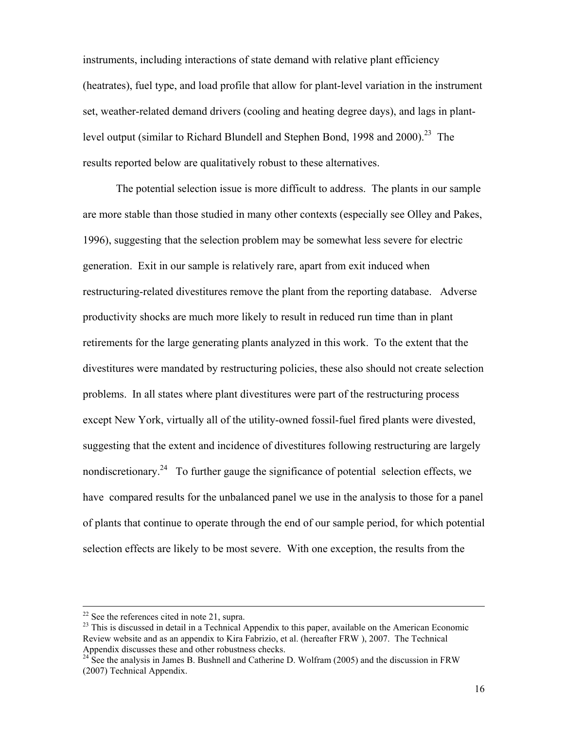instruments, including interactions of state demand with relative plant efficiency (heatrates), fuel type, and load profile that allow for plant-level variation in the instrument set, weather-related demand drivers (cooling and heating degree days), and lags in plantlevel output (similar to Richard Blundell and Stephen Bond, 1998 and  $2000$ )<sup>23</sup>. The results reported below are qualitatively robust to these alternatives.

 The potential selection issue is more difficult to address. The plants in our sample are more stable than those studied in many other contexts (especially see Olley and Pakes, 1996), suggesting that the selection problem may be somewhat less severe for electric generation. Exit in our sample is relatively rare, apart from exit induced when restructuring-related divestitures remove the plant from the reporting database. Adverse productivity shocks are much more likely to result in reduced run time than in plant retirements for the large generating plants analyzed in this work. To the extent that the divestitures were mandated by restructuring policies, these also should not create selection problems. In all states where plant divestitures were part of the restructuring process except New York, virtually all of the utility-owned fossil-fuel fired plants were divested, suggesting that the extent and incidence of divestitures following restructuring are largely nondiscretionary.<sup>24</sup> To further gauge the significance of potential selection effects, we have compared results for the unbalanced panel we use in the analysis to those for a panel of plants that continue to operate through the end of our sample period, for which potential selection effects are likely to be most severe. With one exception, the results from the

 $22$  See the references cited in note 21, supra.

 $^{23}$  This is discussed in detail in a Technical Appendix to this paper, available on the American Economic Review website and as an appendix to Kira Fabrizio, et al. (hereafter FRW ), 2007. The Technical Appendix discusses these and other robustness checks.

 $^{24}$  See the analysis in James B. Bushnell and Catherine D. Wolfram (2005) and the discussion in FRW (2007) Technical Appendix.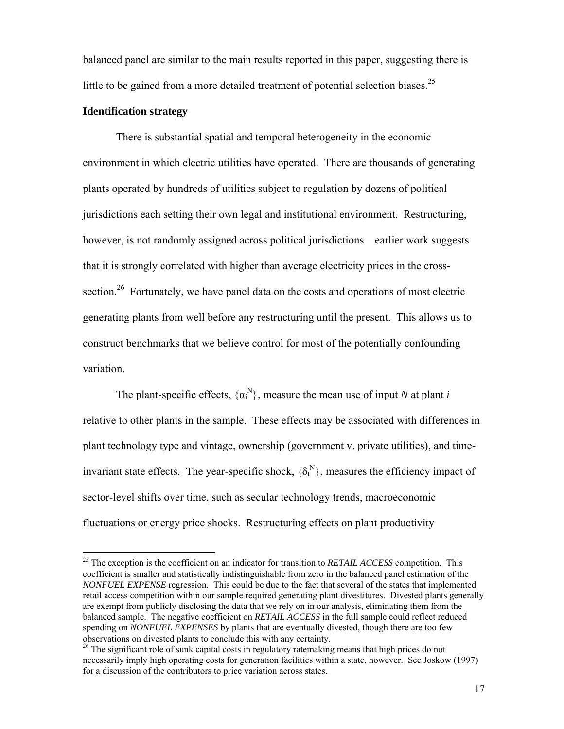balanced panel are similar to the main results reported in this paper, suggesting there is little to be gained from a more detailed treatment of potential selection biases.<sup>25</sup>

## **Identification strategy**

 $\overline{a}$ 

 There is substantial spatial and temporal heterogeneity in the economic environment in which electric utilities have operated. There are thousands of generating plants operated by hundreds of utilities subject to regulation by dozens of political jurisdictions each setting their own legal and institutional environment. Restructuring, however, is not randomly assigned across political jurisdictions—earlier work suggests that it is strongly correlated with higher than average electricity prices in the crosssection.<sup>26</sup> Fortunately, we have panel data on the costs and operations of most electric generating plants from well before any restructuring until the present. This allows us to construct benchmarks that we believe control for most of the potentially confounding variation.

The plant-specific effects,  $\{\alpha_i^N\}$ , measure the mean use of input *N* at plant *i* relative to other plants in the sample. These effects may be associated with differences in plant technology type and vintage, ownership (government v. private utilities), and timeinvariant state effects. The year-specific shock,  $\{\delta_t^N\}$ , measures the efficiency impact of sector-level shifts over time, such as secular technology trends, macroeconomic fluctuations or energy price shocks. Restructuring effects on plant productivity

<sup>&</sup>lt;sup>25</sup> The exception is the coefficient on an indicator for transition to *RETAIL ACCESS* competition. This coefficient is smaller and statistically indistinguishable from zero in the balanced panel estimation of the *NONFUEL EXPENSE* regression. This could be due to the fact that several of the states that implemented retail access competition within our sample required generating plant divestitures. Divested plants generally are exempt from publicly disclosing the data that we rely on in our analysis, eliminating them from the balanced sample. The negative coefficient on *RETAIL ACCESS* in the full sample could reflect reduced spending on *NONFUEL EXPENSES* by plants that are eventually divested, though there are too few observations on divested plants to conclude this with any certainty.

<sup>&</sup>lt;sup>26</sup> The significant role of sunk capital costs in regulatory ratemaking means that high prices do not necessarily imply high operating costs for generation facilities within a state, however. See Joskow (1997) for a discussion of the contributors to price variation across states.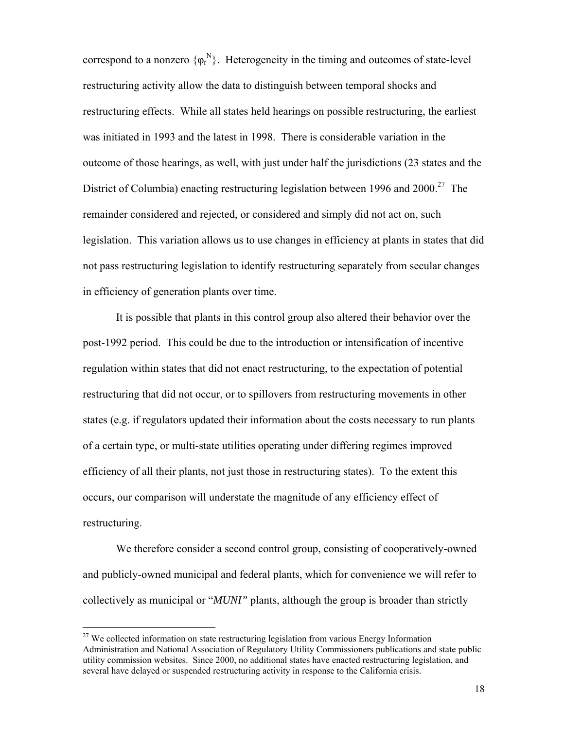correspond to a nonzero  $\{\varphi_r^N\}$ . Heterogeneity in the timing and outcomes of state-level restructuring activity allow the data to distinguish between temporal shocks and restructuring effects. While all states held hearings on possible restructuring, the earliest was initiated in 1993 and the latest in 1998. There is considerable variation in the outcome of those hearings, as well, with just under half the jurisdictions (23 states and the District of Columbia) enacting restructuring legislation between 1996 and  $2000^{27}$  The remainder considered and rejected, or considered and simply did not act on, such legislation. This variation allows us to use changes in efficiency at plants in states that did not pass restructuring legislation to identify restructuring separately from secular changes in efficiency of generation plants over time.

 It is possible that plants in this control group also altered their behavior over the post-1992 period. This could be due to the introduction or intensification of incentive regulation within states that did not enact restructuring, to the expectation of potential restructuring that did not occur, or to spillovers from restructuring movements in other states (e.g. if regulators updated their information about the costs necessary to run plants of a certain type, or multi-state utilities operating under differing regimes improved efficiency of all their plants, not just those in restructuring states). To the extent this occurs, our comparison will understate the magnitude of any efficiency effect of restructuring.

 We therefore consider a second control group, consisting of cooperatively-owned and publicly-owned municipal and federal plants, which for convenience we will refer to collectively as municipal or "*MUNI"* plants, although the group is broader than strictly

 $27$  We collected information on state restructuring legislation from various Energy Information Administration and National Association of Regulatory Utility Commissioners publications and state public utility commission websites. Since 2000, no additional states have enacted restructuring legislation, and several have delayed or suspended restructuring activity in response to the California crisis.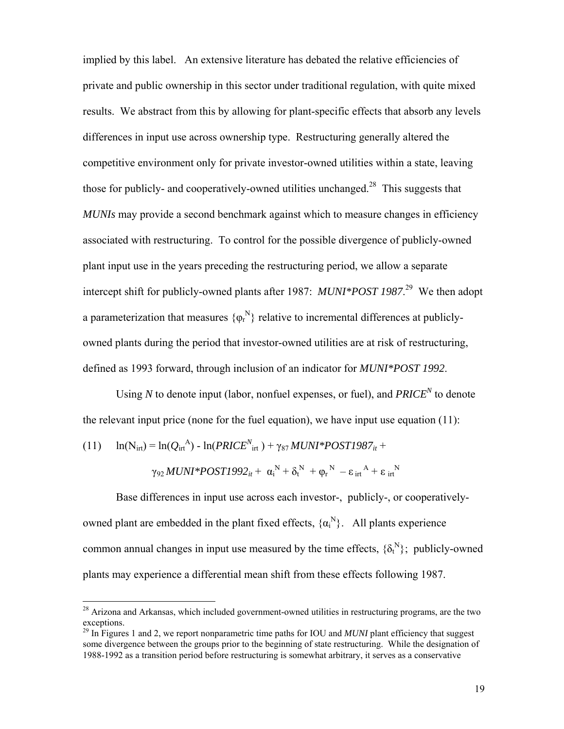implied by this label. An extensive literature has debated the relative efficiencies of private and public ownership in this sector under traditional regulation, with quite mixed results. We abstract from this by allowing for plant-specific effects that absorb any levels differences in input use across ownership type. Restructuring generally altered the competitive environment only for private investor-owned utilities within a state, leaving those for publicly- and cooperatively-owned utilities unchanged.<sup>28</sup> This suggests that *MUNIs* may provide a second benchmark against which to measure changes in efficiency associated with restructuring. To control for the possible divergence of publicly-owned plant input use in the years preceding the restructuring period, we allow a separate intercept shift for publicly-owned plants after 1987: *MUNI\*POST 1987*. 29 We then adopt a parameterization that measures  $\{\varphi_r^N\}$  relative to incremental differences at publiclyowned plants during the period that investor-owned utilities are at risk of restructuring, defined as 1993 forward, through inclusion of an indicator for *MUNI\*POST 1992*.

Using *N* to denote input (labor, nonfuel expenses, or fuel), and  $PRICE^N$  to denote the relevant input price (none for the fuel equation), we have input use equation (11):

(11) 
$$
\ln(N_{\text{irt}}) = \ln(Q_{\text{irt}}^{A}) - \ln(PRICE_{\text{irt}}^{N}) + \gamma_{87} MUNI * POST1987_{it} + \gamma_{92} MUNI * POST1992_{it} + \alpha_{i}^{N} + \delta_{t}^{N} + \varphi_{r}^{N} - \epsilon_{\text{irt}}^{A} + \epsilon_{\text{irt}}^{N}
$$

 $\overline{a}$ 

 Base differences in input use across each investor-, publicly-, or cooperativelyowned plant are embedded in the plant fixed effects,  $\{\alpha_i^N\}$ . All plants experience common annual changes in input use measured by the time effects,  $\{\delta_t^N\}$ ; publicly-owned plants may experience a differential mean shift from these effects following 1987.

 $2<sup>28</sup>$  Arizona and Arkansas, which included government-owned utilities in restructuring programs, are the two exceptions.

<sup>&</sup>lt;sup>29</sup> In Figures 1 and 2, we report nonparametric time paths for IOU and *MUNI* plant efficiency that suggest some divergence between the groups prior to the beginning of state restructuring. While the designation of 1988-1992 as a transition period before restructuring is somewhat arbitrary, it serves as a conservative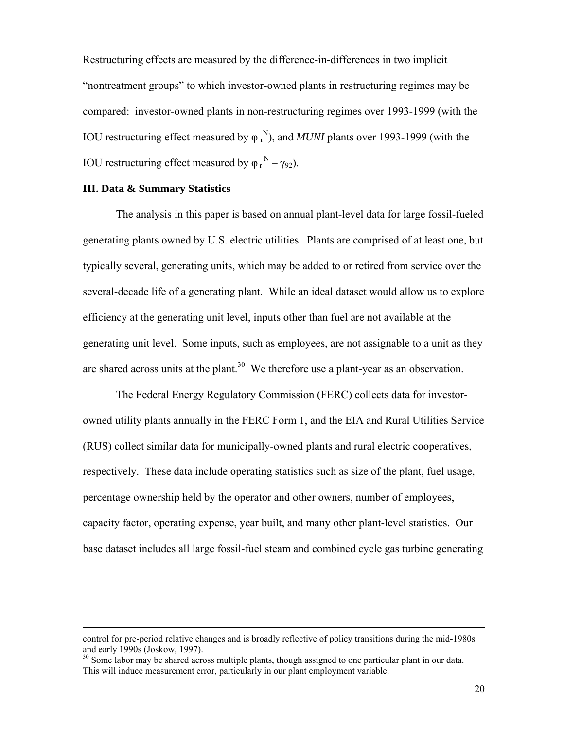Restructuring effects are measured by the difference-in-differences in two implicit "nontreatment groups" to which investor-owned plants in restructuring regimes may be compared: investor-owned plants in non-restructuring regimes over 1993-1999 (with the IOU restructuring effect measured by  $\varphi_r^N$ ), and *MUNI* plants over 1993-1999 (with the IOU restructuring effect measured by  $\varphi_r^N - \gamma_{92}$ ).

#### **III. Data & Summary Statistics**

 $\overline{a}$ 

 The analysis in this paper is based on annual plant-level data for large fossil-fueled generating plants owned by U.S. electric utilities. Plants are comprised of at least one, but typically several, generating units, which may be added to or retired from service over the several-decade life of a generating plant. While an ideal dataset would allow us to explore efficiency at the generating unit level, inputs other than fuel are not available at the generating unit level. Some inputs, such as employees, are not assignable to a unit as they are shared across units at the plant.<sup>30</sup> We therefore use a plant-year as an observation.

 The Federal Energy Regulatory Commission (FERC) collects data for investorowned utility plants annually in the FERC Form 1, and the EIA and Rural Utilities Service (RUS) collect similar data for municipally-owned plants and rural electric cooperatives, respectively. These data include operating statistics such as size of the plant, fuel usage, percentage ownership held by the operator and other owners, number of employees, capacity factor, operating expense, year built, and many other plant-level statistics. Our base dataset includes all large fossil-fuel steam and combined cycle gas turbine generating

control for pre-period relative changes and is broadly reflective of policy transitions during the mid-1980s and early 1990s (Joskow, 1997).

 $30$  Some labor may be shared across multiple plants, though assigned to one particular plant in our data. This will induce measurement error, particularly in our plant employment variable.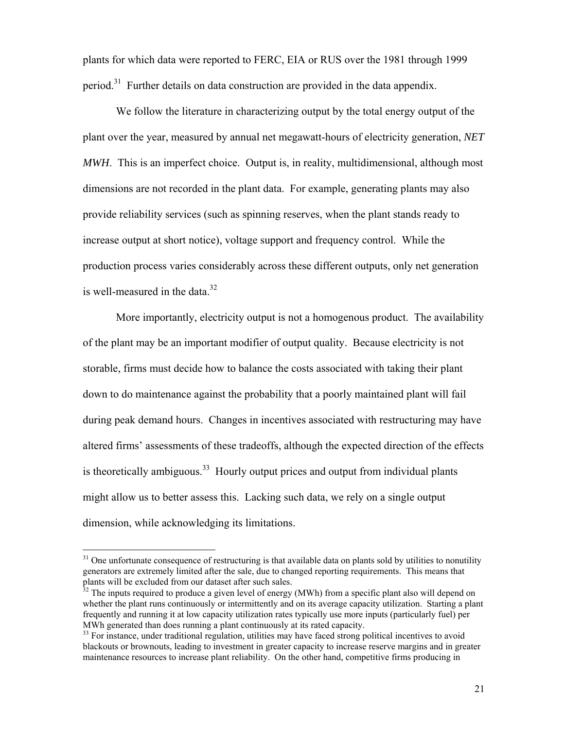plants for which data were reported to FERC, EIA or RUS over the 1981 through 1999 period.<sup>31</sup> Further details on data construction are provided in the data appendix.

 We follow the literature in characterizing output by the total energy output of the plant over the year, measured by annual net megawatt-hours of electricity generation, *NET MWH*. This is an imperfect choice. Output is, in reality, multidimensional, although most dimensions are not recorded in the plant data. For example, generating plants may also provide reliability services (such as spinning reserves, when the plant stands ready to increase output at short notice), voltage support and frequency control. While the production process varies considerably across these different outputs, only net generation is well-measured in the data. $32$ 

More importantly, electricity output is not a homogenous product. The availability of the plant may be an important modifier of output quality. Because electricity is not storable, firms must decide how to balance the costs associated with taking their plant down to do maintenance against the probability that a poorly maintained plant will fail during peak demand hours. Changes in incentives associated with restructuring may have altered firms' assessments of these tradeoffs, although the expected direction of the effects is theoretically ambiguous.<sup>33</sup> Hourly output prices and output from individual plants might allow us to better assess this. Lacking such data, we rely on a single output dimension, while acknowledging its limitations.

 $31$  One unfortunate consequence of restructuring is that available data on plants sold by utilities to nonutility generators are extremely limited after the sale, due to changed reporting requirements. This means that plants will be excluded from our dataset after such sales.

 $32$  The inputs required to produce a given level of energy (MWh) from a specific plant also will depend on whether the plant runs continuously or intermittently and on its average capacity utilization. Starting a plant frequently and running it at low capacity utilization rates typically use more inputs (particularly fuel) per MWh generated than does running a plant continuously at its rated capacity.

<sup>&</sup>lt;sup>33</sup> For instance, under traditional regulation, utilities may have faced strong political incentives to avoid blackouts or brownouts, leading to investment in greater capacity to increase reserve margins and in greater maintenance resources to increase plant reliability. On the other hand, competitive firms producing in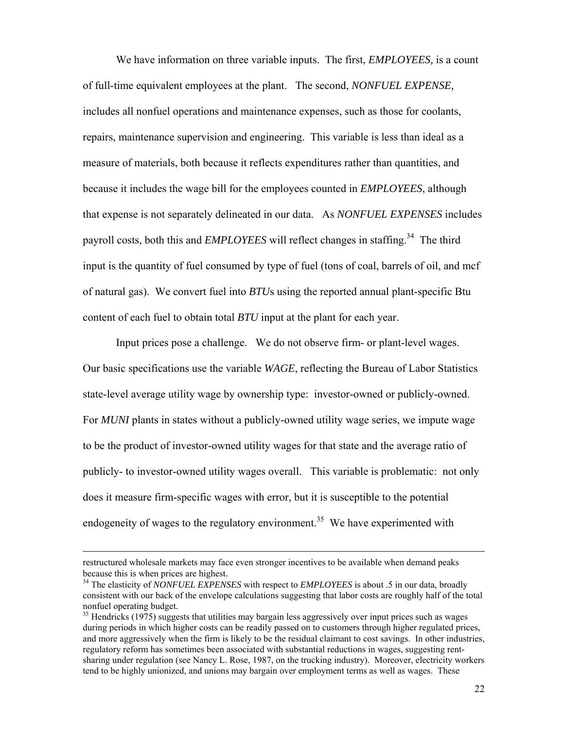We have information on three variable inputs. The first, *EMPLOYEES,* is a count of full-time equivalent employees at the plant. The second, *NONFUEL EXPENSE,* includes all nonfuel operations and maintenance expenses, such as those for coolants, repairs, maintenance supervision and engineering. This variable is less than ideal as a measure of materials, both because it reflects expenditures rather than quantities, and because it includes the wage bill for the employees counted in *EMPLOYEES*, although that expense is not separately delineated in our data. As *NONFUEL EXPENSES* includes payroll costs, both this and *EMPLOYEES* will reflect changes in staffing.<sup>34</sup> The third input is the quantity of fuel consumed by type of fuel (tons of coal, barrels of oil, and mcf of natural gas). We convert fuel into *BTU*s using the reported annual plant-specific Btu content of each fuel to obtain total *BTU* input at the plant for each year.

 Input prices pose a challenge. We do not observe firm- or plant-level wages. Our basic specifications use the variable *WAGE*, reflecting the Bureau of Labor Statistics state-level average utility wage by ownership type: investor-owned or publicly-owned. For *MUNI* plants in states without a publicly-owned utility wage series, we impute wage to be the product of investor-owned utility wages for that state and the average ratio of publicly- to investor-owned utility wages overall. This variable is problematic: not only does it measure firm-specific wages with error, but it is susceptible to the potential endogeneity of wages to the regulatory environment.<sup>35</sup> We have experimented with

restructured wholesale markets may face even stronger incentives to be available when demand peaks because this is when prices are highest. 34 The elasticity of *NONFUEL EXPENSES* with respect to *EMPLOYEES* is about .5 in our data, broadly

consistent with our back of the envelope calculations suggesting that labor costs are roughly half of the total nonfuel operating budget.

<sup>&</sup>lt;sup>35</sup> Hendricks (1975) suggests that utilities may bargain less aggressively over input prices such as wages during periods in which higher costs can be readily passed on to customers through higher regulated prices, and more aggressively when the firm is likely to be the residual claimant to cost savings. In other industries, regulatory reform has sometimes been associated with substantial reductions in wages, suggesting rentsharing under regulation (see Nancy L. Rose, 1987, on the trucking industry). Moreover, electricity workers tend to be highly unionized, and unions may bargain over employment terms as well as wages. These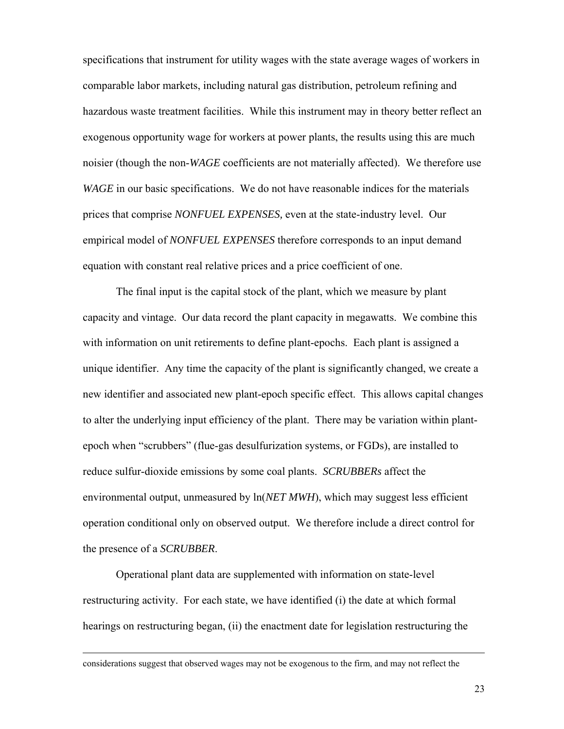specifications that instrument for utility wages with the state average wages of workers in comparable labor markets, including natural gas distribution, petroleum refining and hazardous waste treatment facilities. While this instrument may in theory better reflect an exogenous opportunity wage for workers at power plants, the results using this are much noisier (though the non-*WAGE* coefficients are not materially affected). We therefore use *WAGE* in our basic specifications. We do not have reasonable indices for the materials prices that comprise *NONFUEL EXPENSES,* even at the state-industry level. Our empirical model of *NONFUEL EXPENSES* therefore corresponds to an input demand equation with constant real relative prices and a price coefficient of one.

The final input is the capital stock of the plant, which we measure by plant capacity and vintage. Our data record the plant capacity in megawatts. We combine this with information on unit retirements to define plant-epochs. Each plant is assigned a unique identifier. Any time the capacity of the plant is significantly changed, we create a new identifier and associated new plant-epoch specific effect. This allows capital changes to alter the underlying input efficiency of the plant. There may be variation within plantepoch when "scrubbers" (flue-gas desulfurization systems, or FGDs), are installed to reduce sulfur-dioxide emissions by some coal plants. *SCRUBBERs* affect the environmental output, unmeasured by ln(*NET MWH*), which may suggest less efficient operation conditional only on observed output. We therefore include a direct control for the presence of a *SCRUBBER*.

 Operational plant data are supplemented with information on state-level restructuring activity. For each state, we have identified (i) the date at which formal hearings on restructuring began, (ii) the enactment date for legislation restructuring the

 $\overline{a}$ 

considerations suggest that observed wages may not be exogenous to the firm, and may not reflect the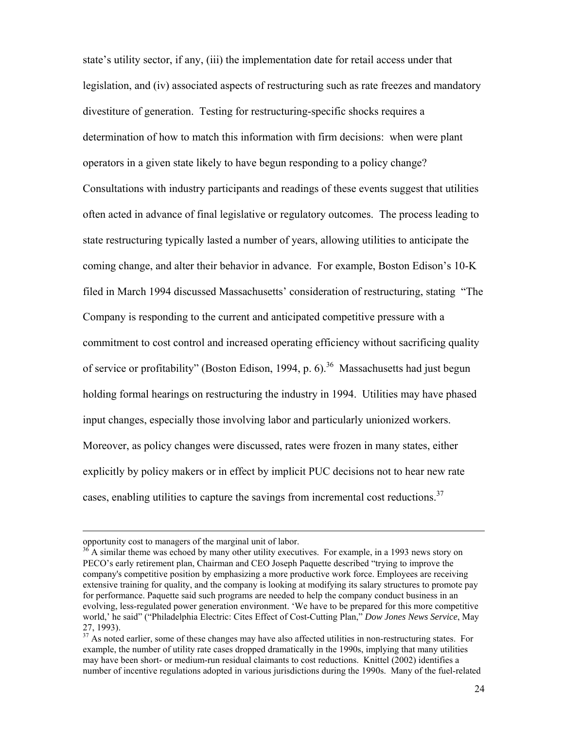state's utility sector, if any, (iii) the implementation date for retail access under that legislation, and (iv) associated aspects of restructuring such as rate freezes and mandatory divestiture of generation. Testing for restructuring-specific shocks requires a determination of how to match this information with firm decisions: when were plant operators in a given state likely to have begun responding to a policy change? Consultations with industry participants and readings of these events suggest that utilities often acted in advance of final legislative or regulatory outcomes. The process leading to state restructuring typically lasted a number of years, allowing utilities to anticipate the coming change, and alter their behavior in advance. For example, Boston Edison's 10-K filed in March 1994 discussed Massachusetts' consideration of restructuring, stating "The Company is responding to the current and anticipated competitive pressure with a commitment to cost control and increased operating efficiency without sacrificing quality of service or profitability" (Boston Edison, 1994, p. 6).<sup>36</sup> Massachusetts had just begun holding formal hearings on restructuring the industry in 1994. Utilities may have phased input changes, especially those involving labor and particularly unionized workers. Moreover, as policy changes were discussed, rates were frozen in many states, either explicitly by policy makers or in effect by implicit PUC decisions not to hear new rate cases, enabling utilities to capture the savings from incremental cost reductions.<sup>37</sup>

opportunity cost to managers of the marginal unit of labor.

 $36$  A similar theme was echoed by many other utility executives. For example, in a 1993 news story on PECO's early retirement plan, Chairman and CEO Joseph Paquette described "trying to improve the company's competitive position by emphasizing a more productive work force. Employees are receiving extensive training for quality, and the company is looking at modifying its salary structures to promote pay for performance. Paquette said such programs are needed to help the company conduct business in an evolving, less-regulated power generation environment. 'We have to be prepared for this more competitive world,' he said" ("Philadelphia Electric: Cites Effect of Cost-Cutting Plan," *Dow Jones News Service*, May 27, 1993).

<sup>&</sup>lt;sup>37</sup> As noted earlier, some of these changes may have also affected utilities in non-restructuring states. For example, the number of utility rate cases dropped dramatically in the 1990s, implying that many utilities may have been short- or medium-run residual claimants to cost reductions. Knittel (2002) identifies a number of incentive regulations adopted in various jurisdictions during the 1990s. Many of the fuel-related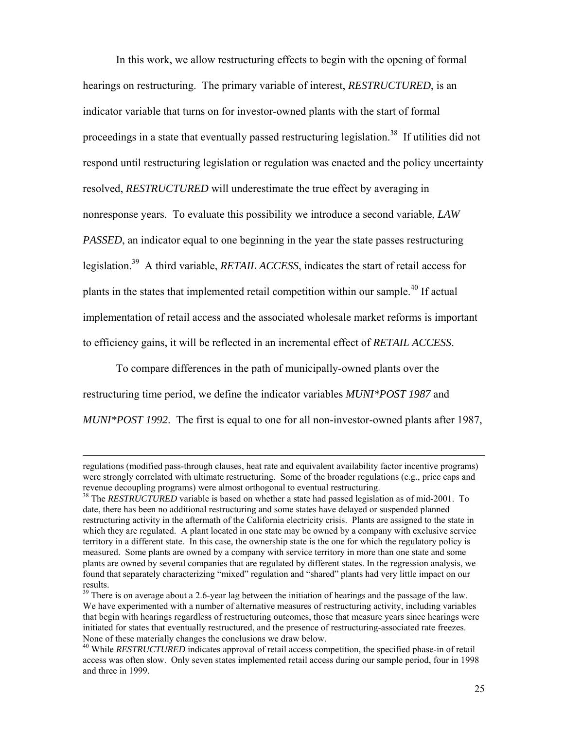In this work, we allow restructuring effects to begin with the opening of formal hearings on restructuring. The primary variable of interest, *RESTRUCTURED*, is an indicator variable that turns on for investor-owned plants with the start of formal proceedings in a state that eventually passed restructuring legislation.<sup>38</sup> If utilities did not respond until restructuring legislation or regulation was enacted and the policy uncertainty resolved, *RESTRUCTURED* will underestimate the true effect by averaging in nonresponse years. To evaluate this possibility we introduce a second variable, *LAW PASSED*, an indicator equal to one beginning in the year the state passes restructuring legislation.39 A third variable, *RETAIL ACCESS*, indicates the start of retail access for plants in the states that implemented retail competition within our sample.<sup>40</sup> If actual implementation of retail access and the associated wholesale market reforms is important to efficiency gains, it will be reflected in an incremental effect of *RETAIL ACCESS*.

 To compare differences in the path of municipally-owned plants over the restructuring time period, we define the indicator variables *MUNI\*POST 1987* and *MUNI\*POST 1992*. The first is equal to one for all non-investor-owned plants after 1987,

regulations (modified pass-through clauses, heat rate and equivalent availability factor incentive programs) were strongly correlated with ultimate restructuring. Some of the broader regulations (e.g., price caps and revenue decoupling programs) were almost orthogonal to eventual restructuring.

<sup>&</sup>lt;sup>38</sup> The *RESTRUCTURED* variable is based on whether a state had passed legislation as of mid-2001. To date, there has been no additional restructuring and some states have delayed or suspended planned restructuring activity in the aftermath of the California electricity crisis. Plants are assigned to the state in which they are regulated. A plant located in one state may be owned by a company with exclusive service territory in a different state. In this case, the ownership state is the one for which the regulatory policy is measured. Some plants are owned by a company with service territory in more than one state and some plants are owned by several companies that are regulated by different states. In the regression analysis, we found that separately characterizing "mixed" regulation and "shared" plants had very little impact on our results.

<sup>&</sup>lt;sup>39</sup> There is on average about a 2.6-year lag between the initiation of hearings and the passage of the law. We have experimented with a number of alternative measures of restructuring activity, including variables that begin with hearings regardless of restructuring outcomes, those that measure years since hearings were initiated for states that eventually restructured, and the presence of restructuring-associated rate freezes. None of these materially changes the conclusions we draw below.

<sup>&</sup>lt;sup>40</sup> While *RESTRUCTURED* indicates approval of retail access competition, the specified phase-in of retail access was often slow. Only seven states implemented retail access during our sample period, four in 1998 and three in 1999.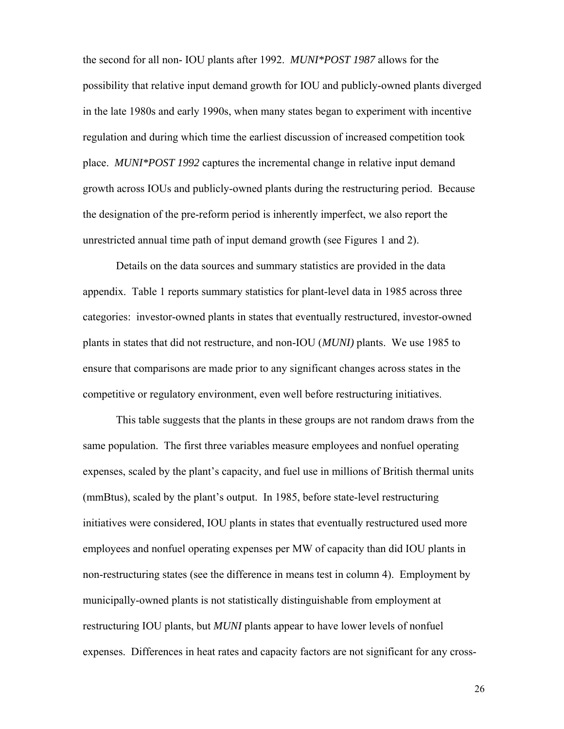the second for all non- IOU plants after 1992. *MUNI\*POST 1987* allows for the possibility that relative input demand growth for IOU and publicly-owned plants diverged in the late 1980s and early 1990s, when many states began to experiment with incentive regulation and during which time the earliest discussion of increased competition took place. *MUNI\*POST 1992* captures the incremental change in relative input demand growth across IOUs and publicly-owned plants during the restructuring period. Because the designation of the pre-reform period is inherently imperfect, we also report the unrestricted annual time path of input demand growth (see Figures 1 and 2).

 Details on the data sources and summary statistics are provided in the data appendix. Table 1 reports summary statistics for plant-level data in 1985 across three categories: investor-owned plants in states that eventually restructured, investor-owned plants in states that did not restructure, and non-IOU (*MUNI)* plants. We use 1985 to ensure that comparisons are made prior to any significant changes across states in the competitive or regulatory environment, even well before restructuring initiatives.

This table suggests that the plants in these groups are not random draws from the same population. The first three variables measure employees and nonfuel operating expenses, scaled by the plant's capacity, and fuel use in millions of British thermal units (mmBtus), scaled by the plant's output. In 1985, before state-level restructuring initiatives were considered, IOU plants in states that eventually restructured used more employees and nonfuel operating expenses per MW of capacity than did IOU plants in non-restructuring states (see the difference in means test in column 4). Employment by municipally-owned plants is not statistically distinguishable from employment at restructuring IOU plants, but *MUNI* plants appear to have lower levels of nonfuel expenses. Differences in heat rates and capacity factors are not significant for any cross-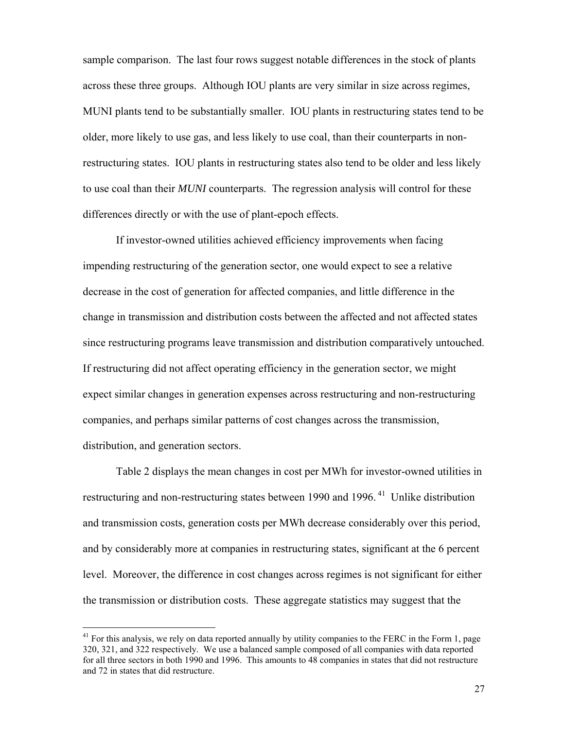sample comparison. The last four rows suggest notable differences in the stock of plants across these three groups. Although IOU plants are very similar in size across regimes, MUNI plants tend to be substantially smaller. IOU plants in restructuring states tend to be older, more likely to use gas, and less likely to use coal, than their counterparts in nonrestructuring states. IOU plants in restructuring states also tend to be older and less likely to use coal than their *MUNI* counterparts. The regression analysis will control for these differences directly or with the use of plant-epoch effects.

 If investor-owned utilities achieved efficiency improvements when facing impending restructuring of the generation sector, one would expect to see a relative decrease in the cost of generation for affected companies, and little difference in the change in transmission and distribution costs between the affected and not affected states since restructuring programs leave transmission and distribution comparatively untouched. If restructuring did not affect operating efficiency in the generation sector, we might expect similar changes in generation expenses across restructuring and non-restructuring companies, and perhaps similar patterns of cost changes across the transmission, distribution, and generation sectors.

Table 2 displays the mean changes in cost per MWh for investor-owned utilities in restructuring and non-restructuring states between 1990 and 1996.<sup>41</sup> Unlike distribution and transmission costs, generation costs per MWh decrease considerably over this period, and by considerably more at companies in restructuring states, significant at the 6 percent level. Moreover, the difference in cost changes across regimes is not significant for either the transmission or distribution costs. These aggregate statistics may suggest that the

<sup>&</sup>lt;sup>41</sup> For this analysis, we rely on data reported annually by utility companies to the FERC in the Form 1, page 320, 321, and 322 respectively. We use a balanced sample composed of all companies with data reported for all three sectors in both 1990 and 1996. This amounts to 48 companies in states that did not restructure and 72 in states that did restructure.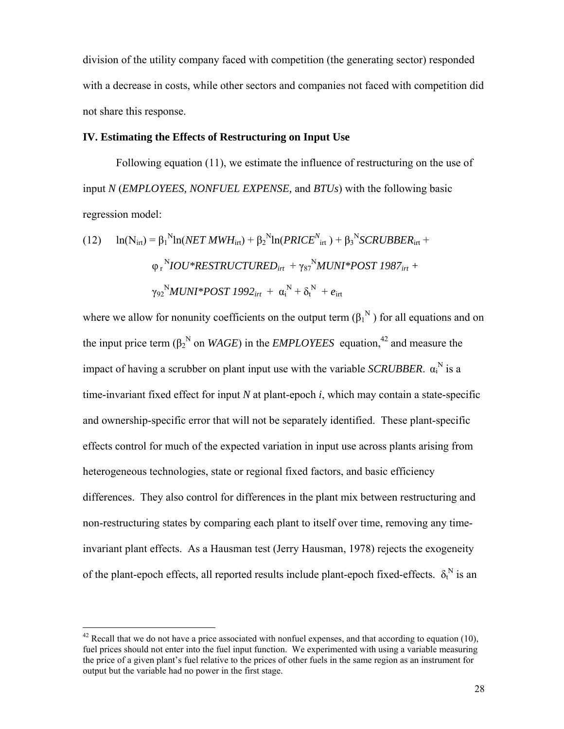division of the utility company faced with competition (the generating sector) responded with a decrease in costs, while other sectors and companies not faced with competition did not share this response.

### **IV. Estimating the Effects of Restructuring on Input Use**

 Following equation (11), we estimate the influence of restructuring on the use of input *N* (*EMPLOYEES, NONFUEL EXPENSE,* and *BTUs*) with the following basic regression model:

(12) 
$$
\ln(N_{\text{irt}}) = \beta_1^N \ln(NET\text{ }MWH_{\text{irt}}) + \beta_2^N \ln(PRICE^N_{\text{irt}}) + \beta_3^N SCRUBBER_{\text{irt}} + \varphi_r^N IOU*RESTRUCTURED_{\text{irt}} + \gamma_{87}^N MUNI*POST 1987_{\text{irt}} + \gamma_{92}^N MUNI*POST 1992_{\text{irt}} + \alpha_i^N + \delta_t^N + e_{\text{irt}}
$$

where we allow for nonunity coefficients on the output term  $(\beta_1^N)$  for all equations and on the input price term ( $\beta_2^N$  on *WAGE*) in the *EMPLOYEES* equation,<sup>42</sup> and measure the impact of having a scrubber on plant input use with the variable *SCRUBBER*.  $\alpha_i^N$  is a time-invariant fixed effect for input *N* at plant-epoch *i*, which may contain a state-specific and ownership-specific error that will not be separately identified. These plant-specific effects control for much of the expected variation in input use across plants arising from heterogeneous technologies, state or regional fixed factors, and basic efficiency differences. They also control for differences in the plant mix between restructuring and non-restructuring states by comparing each plant to itself over time, removing any timeinvariant plant effects. As a Hausman test (Jerry Hausman, 1978) rejects the exogeneity of the plant-epoch effects, all reported results include plant-epoch fixed-effects.  $\delta_t^N$  is an

 $42$  Recall that we do not have a price associated with nonfuel expenses, and that according to equation (10), fuel prices should not enter into the fuel input function. We experimented with using a variable measuring the price of a given plant's fuel relative to the prices of other fuels in the same region as an instrument for output but the variable had no power in the first stage.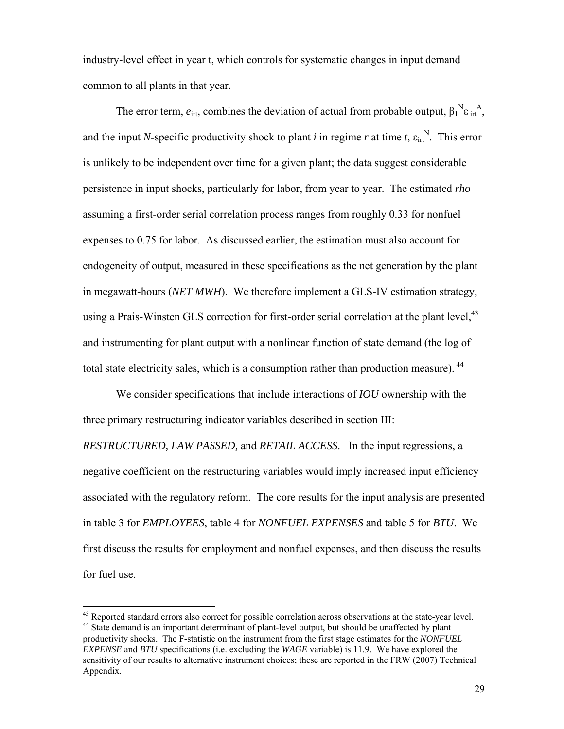industry-level effect in year t, which controls for systematic changes in input demand common to all plants in that year.

The error term,  $e_{\text{irt}}$ , combines the deviation of actual from probable output,  $\beta_1^N \varepsilon_{\text{irt}}^A$ , and the input *N*-specific productivity shock to plant *i* in regime *r* at time *t*,  $\varepsilon_{\text{int}}^{N}$ . This error is unlikely to be independent over time for a given plant; the data suggest considerable persistence in input shocks, particularly for labor, from year to year. The estimated *rho* assuming a first-order serial correlation process ranges from roughly 0.33 for nonfuel expenses to 0.75 for labor. As discussed earlier, the estimation must also account for endogeneity of output, measured in these specifications as the net generation by the plant in megawatt-hours (*NET MWH*). We therefore implement a GLS-IV estimation strategy, using a Prais-Winsten GLS correction for first-order serial correlation at the plant level,  $43$ and instrumenting for plant output with a nonlinear function of state demand (the log of total state electricity sales, which is a consumption rather than production measure).<sup>44</sup>

 We consider specifications that include interactions of *IOU* ownership with the three primary restructuring indicator variables described in section III:

*RESTRUCTURED, LAW PASSED,* and *RETAIL ACCESS*. In the input regressions, a negative coefficient on the restructuring variables would imply increased input efficiency associated with the regulatory reform. The core results for the input analysis are presented in table 3 for *EMPLOYEES*, table 4 for *NONFUEL EXPENSES* and table 5 for *BTU*. We first discuss the results for employment and nonfuel expenses, and then discuss the results for fuel use.

 $43$  Reported standard errors also correct for possible correlation across observations at the state-year level.  $44$  State demand is an important determinant of plant-level output, but should be unaffected by plant productivity shocks. The F-statistic on the instrument from the first stage estimates for the *NONFUEL EXPENSE* and *BTU* specifications (i.e. excluding the *WAGE* variable) is 11.9. We have explored the sensitivity of our results to alternative instrument choices; these are reported in the FRW (2007) Technical Appendix.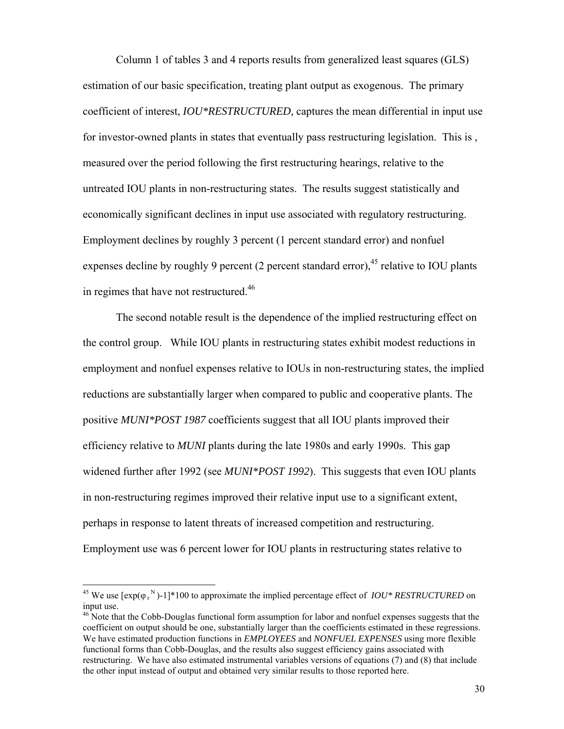Column 1 of tables 3 and 4 reports results from generalized least squares (GLS) estimation of our basic specification, treating plant output as exogenous. The primary coefficient of interest, *IOU\*RESTRUCTURED,* captures the mean differential in input use for investor-owned plants in states that eventually pass restructuring legislation. This is , measured over the period following the first restructuring hearings, relative to the untreated IOU plants in non-restructuring states. The results suggest statistically and economically significant declines in input use associated with regulatory restructuring. Employment declines by roughly 3 percent (1 percent standard error) and nonfuel expenses decline by roughly 9 percent (2 percent standard error),  $45$  relative to IOU plants in regimes that have not restructured.<sup>46</sup>

 The second notable result is the dependence of the implied restructuring effect on the control group. While IOU plants in restructuring states exhibit modest reductions in employment and nonfuel expenses relative to IOUs in non-restructuring states, the implied reductions are substantially larger when compared to public and cooperative plants. The positive *MUNI\*POST 1987* coefficients suggest that all IOU plants improved their efficiency relative to *MUNI* plants during the late 1980s and early 1990s. This gap widened further after 1992 (see *MUNI\*POST 1992*). This suggests that even IOU plants in non-restructuring regimes improved their relative input use to a significant extent, perhaps in response to latent threats of increased competition and restructuring. Employment use was 6 percent lower for IOU plants in restructuring states relative to

<sup>&</sup>lt;sup>45</sup> We use  $[\exp(\varphi_r^N)-1]^*100$  to approximate the implied percentage effect of *IOU\* RESTRUCTURED* on input use.

<sup>&</sup>lt;sup>46</sup> Note that the Cobb-Douglas functional form assumption for labor and nonfuel expenses suggests that the coefficient on output should be one, substantially larger than the coefficients estimated in these regressions. We have estimated production functions in *EMPLOYEES* and *NONFUEL EXPENSES* using more flexible functional forms than Cobb-Douglas, and the results also suggest efficiency gains associated with restructuring. We have also estimated instrumental variables versions of equations (7) and (8) that include the other input instead of output and obtained very similar results to those reported here.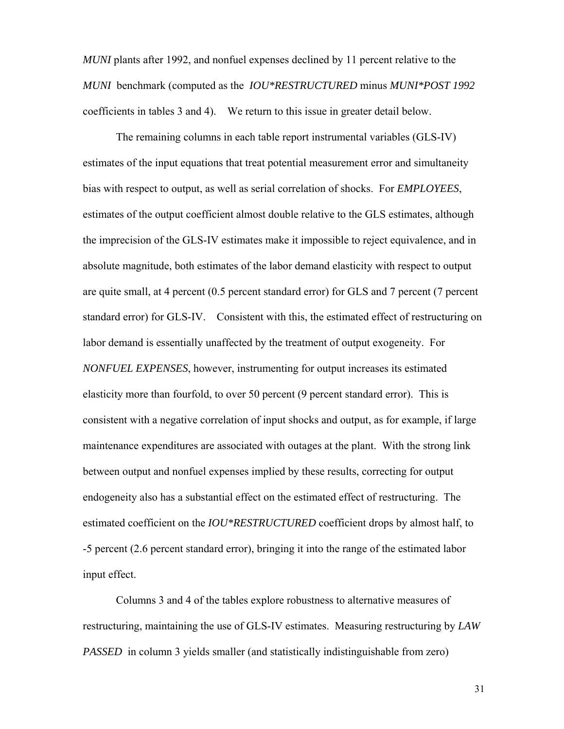*MUNI* plants after 1992, and nonfuel expenses declined by 11 percent relative to the *MUNI* benchmark (computed as the *IOU\*RESTRUCTURED* minus *MUNI\*POST 1992*  coefficients in tables 3 and 4). We return to this issue in greater detail below.

 The remaining columns in each table report instrumental variables (GLS-IV) estimates of the input equations that treat potential measurement error and simultaneity bias with respect to output, as well as serial correlation of shocks. For *EMPLOYEES*, estimates of the output coefficient almost double relative to the GLS estimates, although the imprecision of the GLS-IV estimates make it impossible to reject equivalence, and in absolute magnitude, both estimates of the labor demand elasticity with respect to output are quite small, at 4 percent (0.5 percent standard error) for GLS and 7 percent (7 percent standard error) for GLS-IV. Consistent with this, the estimated effect of restructuring on labor demand is essentially unaffected by the treatment of output exogeneity. For *NONFUEL EXPENSES*, however, instrumenting for output increases its estimated elasticity more than fourfold, to over 50 percent (9 percent standard error). This is consistent with a negative correlation of input shocks and output, as for example, if large maintenance expenditures are associated with outages at the plant. With the strong link between output and nonfuel expenses implied by these results, correcting for output endogeneity also has a substantial effect on the estimated effect of restructuring. The estimated coefficient on the *IOU\*RESTRUCTURED* coefficient drops by almost half, to -5 percent (2.6 percent standard error), bringing it into the range of the estimated labor input effect.

 Columns 3 and 4 of the tables explore robustness to alternative measures of restructuring, maintaining the use of GLS-IV estimates. Measuring restructuring by *LAW PASSED* in column 3 yields smaller (and statistically indistinguishable from zero)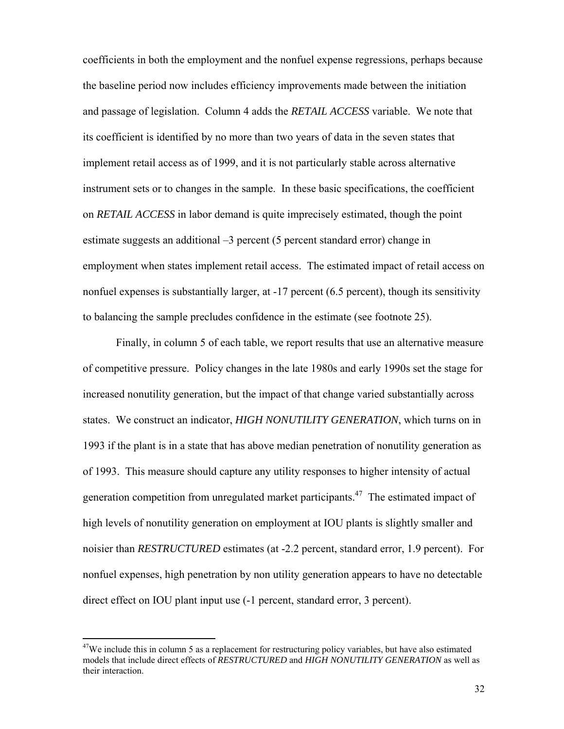coefficients in both the employment and the nonfuel expense regressions, perhaps because the baseline period now includes efficiency improvements made between the initiation and passage of legislation. Column 4 adds the *RETAIL ACCESS* variable. We note that its coefficient is identified by no more than two years of data in the seven states that implement retail access as of 1999, and it is not particularly stable across alternative instrument sets or to changes in the sample. In these basic specifications, the coefficient on *RETAIL ACCESS* in labor demand is quite imprecisely estimated, though the point estimate suggests an additional –3 percent (5 percent standard error) change in employment when states implement retail access. The estimated impact of retail access on nonfuel expenses is substantially larger, at -17 percent (6.5 percent), though its sensitivity to balancing the sample precludes confidence in the estimate (see footnote 25).

 Finally, in column 5 of each table, we report results that use an alternative measure of competitive pressure. Policy changes in the late 1980s and early 1990s set the stage for increased nonutility generation, but the impact of that change varied substantially across states. We construct an indicator, *HIGH NONUTILITY GENERATION*, which turns on in 1993 if the plant is in a state that has above median penetration of nonutility generation as of 1993. This measure should capture any utility responses to higher intensity of actual generation competition from unregulated market participants.47 The estimated impact of high levels of nonutility generation on employment at IOU plants is slightly smaller and noisier than *RESTRUCTURED* estimates (at -2.2 percent, standard error, 1.9 percent). For nonfuel expenses, high penetration by non utility generation appears to have no detectable direct effect on IOU plant input use (-1 percent, standard error, 3 percent).

 $47$ We include this in column 5 as a replacement for restructuring policy variables, but have also estimated models that include direct effects of *RESTRUCTURED* and *HIGH NONUTILITY GENERATION* as well as their interaction.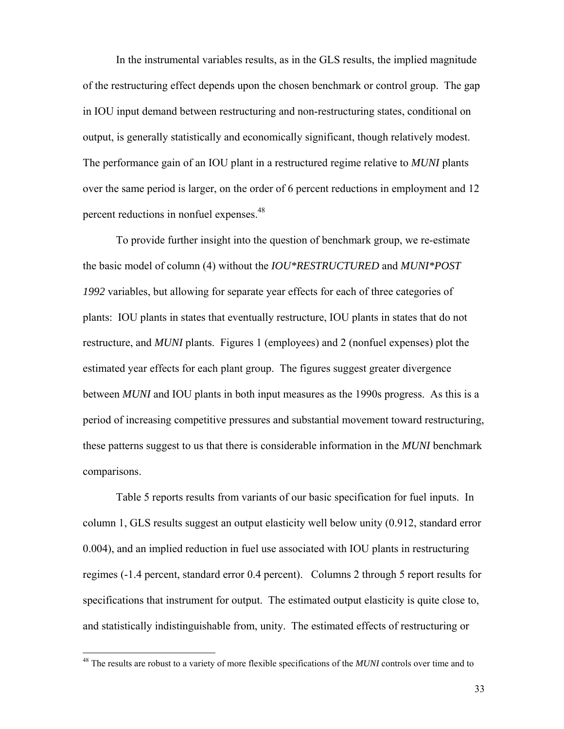In the instrumental variables results, as in the GLS results, the implied magnitude of the restructuring effect depends upon the chosen benchmark or control group. The gap in IOU input demand between restructuring and non-restructuring states, conditional on output, is generally statistically and economically significant, though relatively modest. The performance gain of an IOU plant in a restructured regime relative to *MUNI* plants over the same period is larger, on the order of 6 percent reductions in employment and 12 percent reductions in nonfuel expenses.<sup>48</sup>

 To provide further insight into the question of benchmark group, we re-estimate the basic model of column (4) without the *IOU\*RESTRUCTURED* and *MUNI\*POST 1992* variables, but allowing for separate year effects for each of three categories of plants: IOU plants in states that eventually restructure, IOU plants in states that do not restructure, and *MUNI* plants. Figures 1 (employees) and 2 (nonfuel expenses) plot the estimated year effects for each plant group. The figures suggest greater divergence between *MUNI* and IOU plants in both input measures as the 1990s progress. As this is a period of increasing competitive pressures and substantial movement toward restructuring, these patterns suggest to us that there is considerable information in the *MUNI* benchmark comparisons.

 Table 5 reports results from variants of our basic specification for fuel inputs. In column 1, GLS results suggest an output elasticity well below unity (0.912, standard error 0.004), and an implied reduction in fuel use associated with IOU plants in restructuring regimes (-1.4 percent, standard error 0.4 percent). Columns 2 through 5 report results for specifications that instrument for output. The estimated output elasticity is quite close to, and statistically indistinguishable from, unity. The estimated effects of restructuring or

<sup>48</sup> The results are robust to a variety of more flexible specifications of the *MUNI* controls over time and to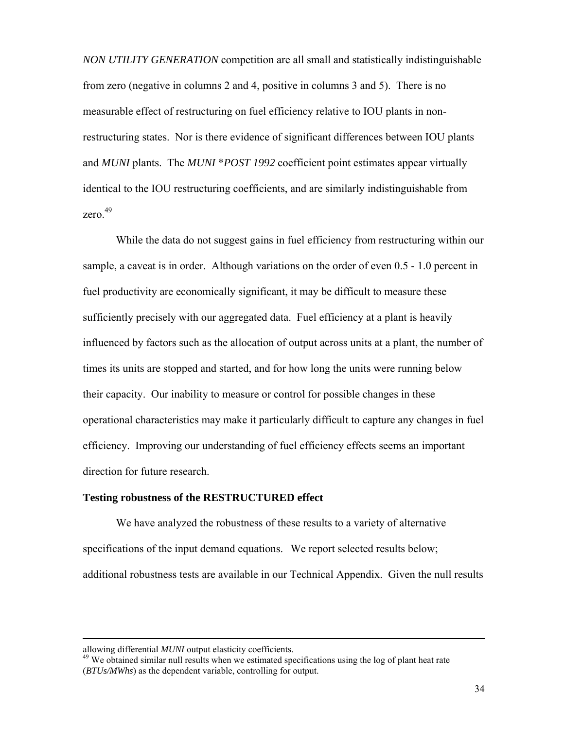*NON UTILITY GENERATION* competition are all small and statistically indistinguishable from zero (negative in columns 2 and 4, positive in columns 3 and 5). There is no measurable effect of restructuring on fuel efficiency relative to IOU plants in nonrestructuring states. Nor is there evidence of significant differences between IOU plants and *MUNI* plants. The *MUNI* \**POST 1992* coefficient point estimates appear virtually identical to the IOU restructuring coefficients, and are similarly indistinguishable from zero. $49$ 

 While the data do not suggest gains in fuel efficiency from restructuring within our sample, a caveat is in order. Although variations on the order of even 0.5 - 1.0 percent in fuel productivity are economically significant, it may be difficult to measure these sufficiently precisely with our aggregated data. Fuel efficiency at a plant is heavily influenced by factors such as the allocation of output across units at a plant, the number of times its units are stopped and started, and for how long the units were running below their capacity. Our inability to measure or control for possible changes in these operational characteristics may make it particularly difficult to capture any changes in fuel efficiency. Improving our understanding of fuel efficiency effects seems an important direction for future research.

### **Testing robustness of the RESTRUCTURED effect**

We have analyzed the robustness of these results to a variety of alternative specifications of the input demand equations. We report selected results below; additional robustness tests are available in our Technical Appendix. Given the null results

allowing differential *MUNI* output elasticity coefficients.<br><sup>49</sup> We obtained similar null results when we estimated specifications using the log of plant heat rate (*BTUs/MWhs*) as the dependent variable, controlling for output.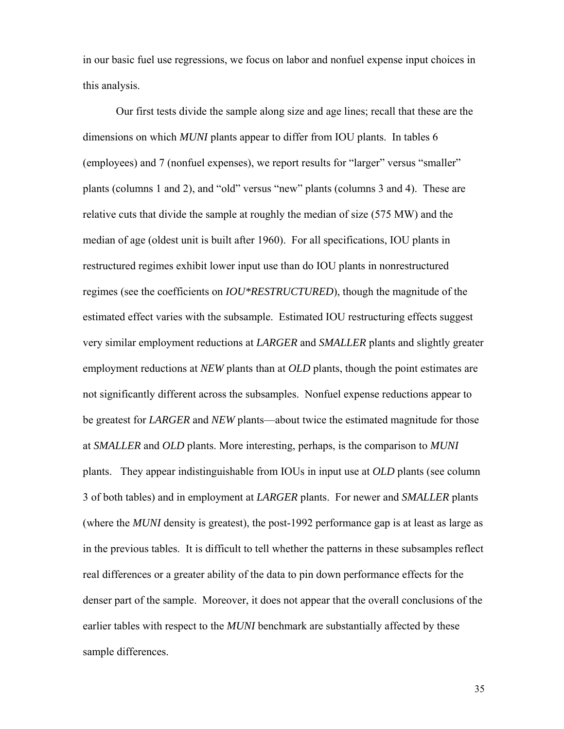in our basic fuel use regressions, we focus on labor and nonfuel expense input choices in this analysis.

 Our first tests divide the sample along size and age lines; recall that these are the dimensions on which *MUNI* plants appear to differ from IOU plants. In tables 6 (employees) and 7 (nonfuel expenses), we report results for "larger" versus "smaller" plants (columns 1 and 2), and "old" versus "new" plants (columns 3 and 4). These are relative cuts that divide the sample at roughly the median of size (575 MW) and the median of age (oldest unit is built after 1960). For all specifications, IOU plants in restructured regimes exhibit lower input use than do IOU plants in nonrestructured regimes (see the coefficients on *IOU\*RESTRUCTURED*), though the magnitude of the estimated effect varies with the subsample. Estimated IOU restructuring effects suggest very similar employment reductions at *LARGER* and *SMALLER* plants and slightly greater employment reductions at *NEW* plants than at *OLD* plants, though the point estimates are not significantly different across the subsamples. Nonfuel expense reductions appear to be greatest for *LARGER* and *NEW* plants—about twice the estimated magnitude for those at *SMALLER* and *OLD* plants. More interesting, perhaps, is the comparison to *MUNI*  plants. They appear indistinguishable from IOUs in input use at *OLD* plants (see column 3 of both tables) and in employment at *LARGER* plants. For newer and *SMALLER* plants (where the *MUNI* density is greatest), the post-1992 performance gap is at least as large as in the previous tables. It is difficult to tell whether the patterns in these subsamples reflect real differences or a greater ability of the data to pin down performance effects for the denser part of the sample. Moreover, it does not appear that the overall conclusions of the earlier tables with respect to the *MUNI* benchmark are substantially affected by these sample differences.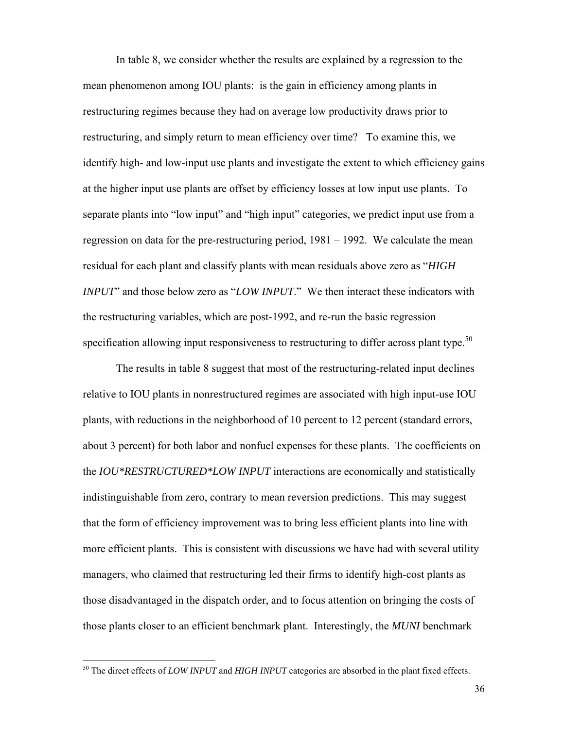In table 8, we consider whether the results are explained by a regression to the mean phenomenon among IOU plants: is the gain in efficiency among plants in restructuring regimes because they had on average low productivity draws prior to restructuring, and simply return to mean efficiency over time? To examine this, we identify high- and low-input use plants and investigate the extent to which efficiency gains at the higher input use plants are offset by efficiency losses at low input use plants. To separate plants into "low input" and "high input" categories, we predict input use from a regression on data for the pre-restructuring period, 1981 – 1992. We calculate the mean residual for each plant and classify plants with mean residuals above zero as "*HIGH INPUT*" and those below zero as "*LOW INPUT*." We then interact these indicators with the restructuring variables, which are post-1992, and re-run the basic regression specification allowing input responsiveness to restructuring to differ across plant type.<sup>50</sup>

 The results in table 8 suggest that most of the restructuring-related input declines relative to IOU plants in nonrestructured regimes are associated with high input-use IOU plants, with reductions in the neighborhood of 10 percent to 12 percent (standard errors, about 3 percent) for both labor and nonfuel expenses for these plants. The coefficients on the *IOU\*RESTRUCTURED\*LOW INPUT* interactions are economically and statistically indistinguishable from zero, contrary to mean reversion predictions. This may suggest that the form of efficiency improvement was to bring less efficient plants into line with more efficient plants. This is consistent with discussions we have had with several utility managers, who claimed that restructuring led their firms to identify high-cost plants as those disadvantaged in the dispatch order, and to focus attention on bringing the costs of those plants closer to an efficient benchmark plant. Interestingly, the *MUNI* benchmark

<u>.</u>

<sup>50</sup> The direct effects of *LOW INPUT* and *HIGH INPUT* categories are absorbed in the plant fixed effects.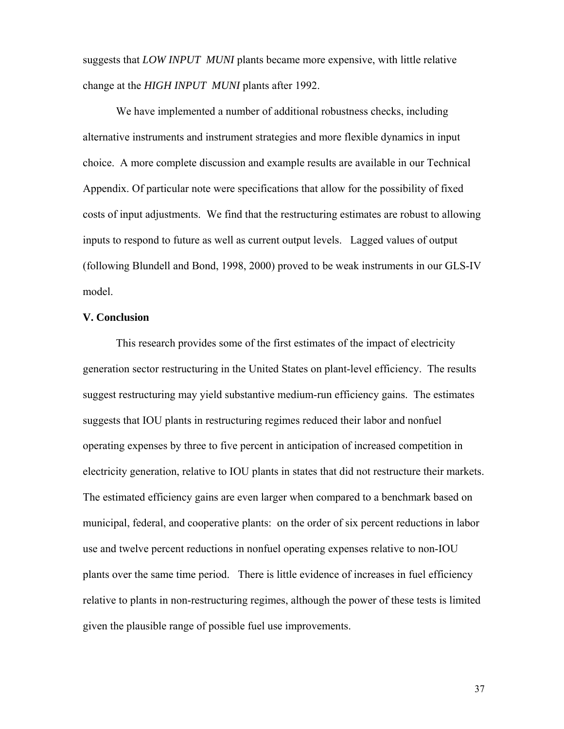suggests that *LOW INPUT MUNI* plants became more expensive, with little relative change at the *HIGH INPUT MUNI* plants after 1992.

 We have implemented a number of additional robustness checks, including alternative instruments and instrument strategies and more flexible dynamics in input choice. A more complete discussion and example results are available in our Technical Appendix. Of particular note were specifications that allow for the possibility of fixed costs of input adjustments. We find that the restructuring estimates are robust to allowing inputs to respond to future as well as current output levels. Lagged values of output (following Blundell and Bond, 1998, 2000) proved to be weak instruments in our GLS-IV model.

#### **V. Conclusion**

 This research provides some of the first estimates of the impact of electricity generation sector restructuring in the United States on plant-level efficiency. The results suggest restructuring may yield substantive medium-run efficiency gains. The estimates suggests that IOU plants in restructuring regimes reduced their labor and nonfuel operating expenses by three to five percent in anticipation of increased competition in electricity generation, relative to IOU plants in states that did not restructure their markets. The estimated efficiency gains are even larger when compared to a benchmark based on municipal, federal, and cooperative plants: on the order of six percent reductions in labor use and twelve percent reductions in nonfuel operating expenses relative to non-IOU plants over the same time period. There is little evidence of increases in fuel efficiency relative to plants in non-restructuring regimes, although the power of these tests is limited given the plausible range of possible fuel use improvements.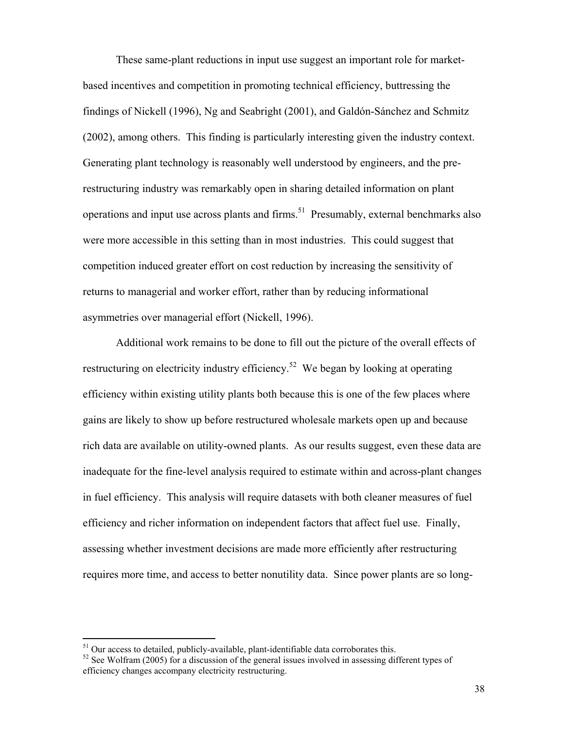These same-plant reductions in input use suggest an important role for marketbased incentives and competition in promoting technical efficiency, buttressing the findings of Nickell (1996), Ng and Seabright (2001), and Galdón-Sánchez and Schmitz (2002), among others. This finding is particularly interesting given the industry context. Generating plant technology is reasonably well understood by engineers, and the prerestructuring industry was remarkably open in sharing detailed information on plant operations and input use across plants and firms.<sup>51</sup> Presumably, external benchmarks also were more accessible in this setting than in most industries. This could suggest that competition induced greater effort on cost reduction by increasing the sensitivity of returns to managerial and worker effort, rather than by reducing informational asymmetries over managerial effort (Nickell, 1996).

 Additional work remains to be done to fill out the picture of the overall effects of restructuring on electricity industry efficiency.<sup>52</sup> We began by looking at operating efficiency within existing utility plants both because this is one of the few places where gains are likely to show up before restructured wholesale markets open up and because rich data are available on utility-owned plants. As our results suggest, even these data are inadequate for the fine-level analysis required to estimate within and across-plant changes in fuel efficiency. This analysis will require datasets with both cleaner measures of fuel efficiency and richer information on independent factors that affect fuel use. Finally, assessing whether investment decisions are made more efficiently after restructuring requires more time, and access to better nonutility data. Since power plants are so long-

 $51$  Our access to detailed, publicly-available, plant-identifiable data corroborates this.

 $52$  See Wolfram (2005) for a discussion of the general issues involved in assessing different types of efficiency changes accompany electricity restructuring.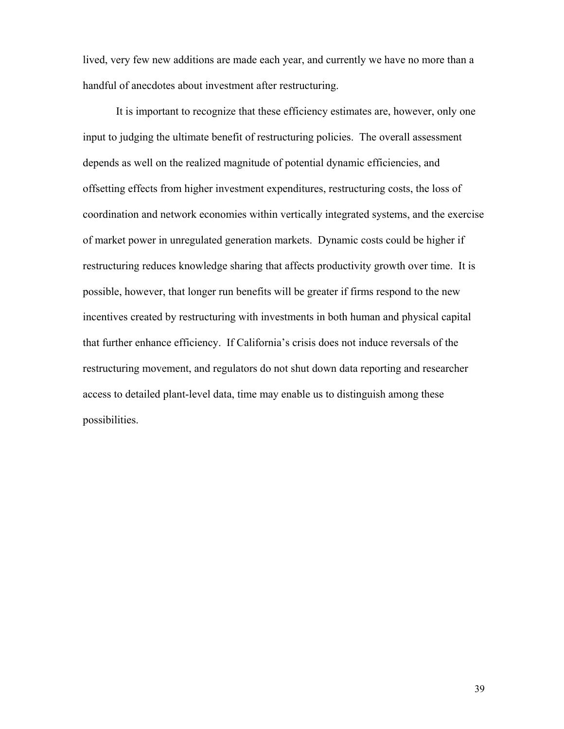lived, very few new additions are made each year, and currently we have no more than a handful of anecdotes about investment after restructuring.

 It is important to recognize that these efficiency estimates are, however, only one input to judging the ultimate benefit of restructuring policies. The overall assessment depends as well on the realized magnitude of potential dynamic efficiencies, and offsetting effects from higher investment expenditures, restructuring costs, the loss of coordination and network economies within vertically integrated systems, and the exercise of market power in unregulated generation markets. Dynamic costs could be higher if restructuring reduces knowledge sharing that affects productivity growth over time. It is possible, however, that longer run benefits will be greater if firms respond to the new incentives created by restructuring with investments in both human and physical capital that further enhance efficiency. If California's crisis does not induce reversals of the restructuring movement, and regulators do not shut down data reporting and researcher access to detailed plant-level data, time may enable us to distinguish among these possibilities.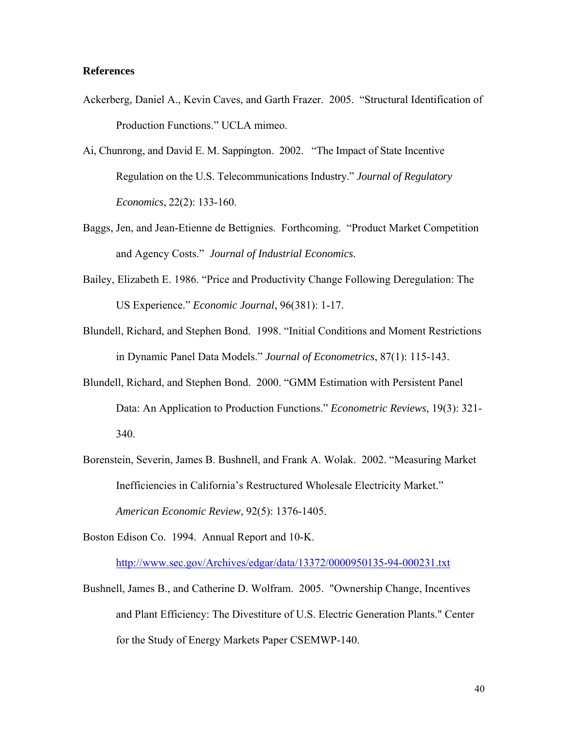### **References**

- Ackerberg, Daniel A., Kevin Caves, and Garth Frazer. 2005. "Structural Identification of Production Functions." UCLA mimeo.
- Ai, Chunrong, and David E. M. Sappington. 2002. "The Impact of State Incentive Regulation on the U.S. Telecommunications Industry." *Journal of Regulatory Economics*, 22(2): 133-160.
- Baggs, Jen, and Jean-Etienne de Bettignies. Forthcoming. "Product Market Competition and Agency Costs." *Journal of Industrial Economics*.
- Bailey, Elizabeth E. 1986. "Price and Productivity Change Following Deregulation: The US Experience." *Economic Journal*, 96(381): 1-17.
- Blundell, Richard, and Stephen Bond. 1998. "Initial Conditions and Moment Restrictions in Dynamic Panel Data Models." *Journal of Econometrics*, 87(1): 115-143.
- Blundell, Richard, and Stephen Bond. 2000. "GMM Estimation with Persistent Panel Data: An Application to Production Functions." *Econometric Reviews*, 19(3): 321- 340.
- Borenstein, Severin, James B. Bushnell, and Frank A. Wolak. 2002. "Measuring Market Inefficiencies in California's Restructured Wholesale Electricity Market." *American Economic Review*, 92(5): 1376-1405.

Boston Edison Co. 1994. Annual Report and 10-K.

http://www.sec.gov/Archives/edgar/data/13372/0000950135-94-000231.txt

Bushnell, James B., and Catherine D. Wolfram. 2005. "Ownership Change, Incentives and Plant Efficiency: The Divestiture of U.S. Electric Generation Plants." Center for the Study of Energy Markets Paper CSEMWP-140.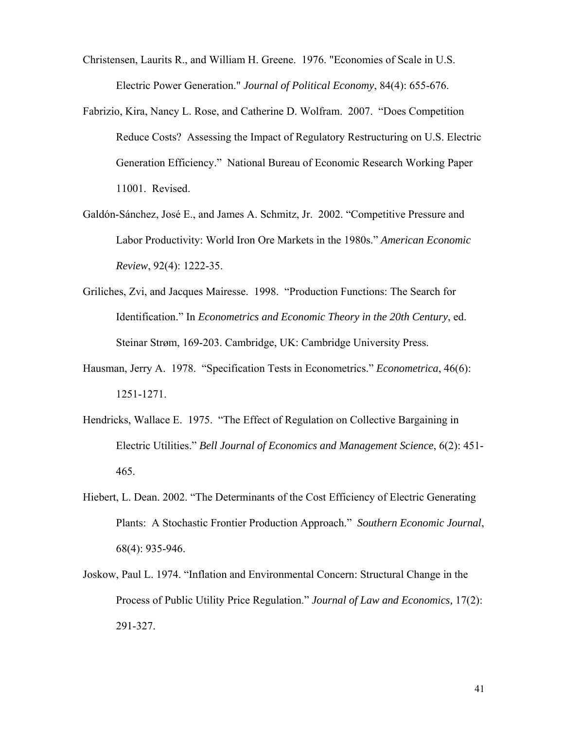- Christensen, Laurits R., and William H. Greene. 1976. "Economies of Scale in U.S. Electric Power Generation." *Journal of Political Economy*, 84(4): 655-676.
- Fabrizio, Kira, Nancy L. Rose, and Catherine D. Wolfram. 2007. "Does Competition Reduce Costs? Assessing the Impact of Regulatory Restructuring on U.S. Electric Generation Efficiency." National Bureau of Economic Research Working Paper 11001. Revised.
- Galdón-Sánchez, José E., and James A. Schmitz, Jr. 2002. "Competitive Pressure and Labor Productivity: World Iron Ore Markets in the 1980s." *American Economic Review*, 92(4): 1222-35.
- Griliches, Zvi, and Jacques Mairesse. 1998. "Production Functions: The Search for Identification." In *Econometrics and Economic Theory in the 20th Century*, ed. Steinar Strøm, 169-203. Cambridge, UK: Cambridge University Press.
- Hausman, Jerry A. 1978. "Specification Tests in Econometrics." *Econometrica*, 46(6): 1251-1271.
- Hendricks, Wallace E. 1975. "The Effect of Regulation on Collective Bargaining in Electric Utilities." *Bell Journal of Economics and Management Science*, 6(2): 451- 465.
- Hiebert, L. Dean. 2002. "The Determinants of the Cost Efficiency of Electric Generating Plants: A Stochastic Frontier Production Approach." *Southern Economic Journal*, 68(4): 935-946.
- Joskow, Paul L. 1974. "Inflation and Environmental Concern: Structural Change in the Process of Public Utility Price Regulation." *Journal of Law and Economics,* 17(2): 291-327.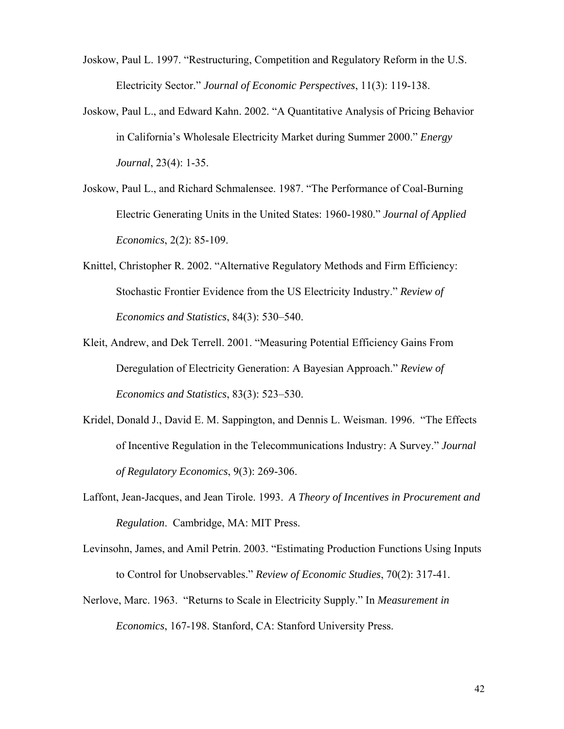- Joskow, Paul L. 1997. "Restructuring, Competition and Regulatory Reform in the U.S. Electricity Sector." *Journal of Economic Perspectives*, 11(3): 119-138.
- Joskow, Paul L., and Edward Kahn. 2002. "A Quantitative Analysis of Pricing Behavior in California's Wholesale Electricity Market during Summer 2000." *Energy Journal*, 23(4): 1-35.
- Joskow, Paul L., and Richard Schmalensee. 1987. "The Performance of Coal-Burning Electric Generating Units in the United States: 1960-1980." *Journal of Applied Economics*, 2(2): 85-109.
- Knittel, Christopher R. 2002. "Alternative Regulatory Methods and Firm Efficiency: Stochastic Frontier Evidence from the US Electricity Industry." *Review of Economics and Statistics*, 84(3): 530–540.
- Kleit, Andrew, and Dek Terrell. 2001. "Measuring Potential Efficiency Gains From Deregulation of Electricity Generation: A Bayesian Approach." *Review of Economics and Statistics*, 83(3): 523–530.
- Kridel, Donald J., David E. M. Sappington, and Dennis L. Weisman. 1996. "The Effects of Incentive Regulation in the Telecommunications Industry: A Survey." *Journal of Regulatory Economics*, 9(3): 269-306.
- Laffont, Jean-Jacques, and Jean Tirole. 1993. *A Theory of Incentives in Procurement and Regulation*. Cambridge, MA: MIT Press.
- Levinsohn, James, and Amil Petrin. 2003. "Estimating Production Functions Using Inputs to Control for Unobservables." *Review of Economic Studies*, 70(2): 317-41.
- Nerlove, Marc. 1963. "Returns to Scale in Electricity Supply." In *Measurement in Economics*, 167-198. Stanford, CA: Stanford University Press.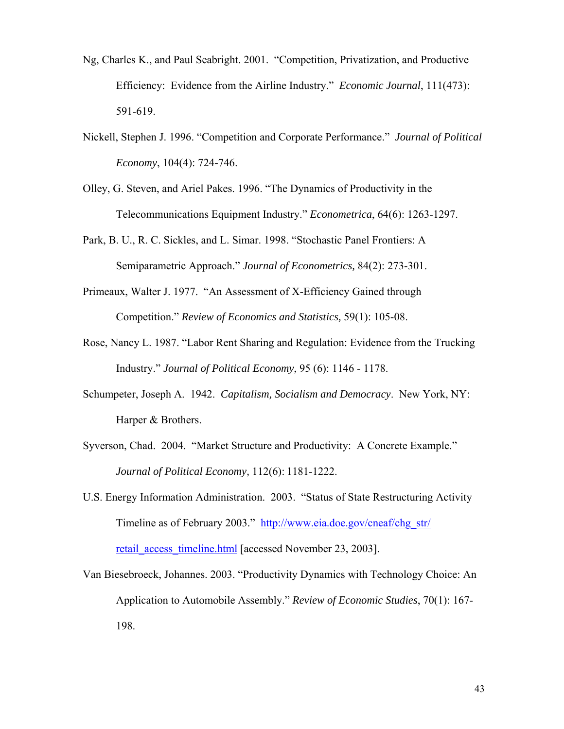- Ng, Charles K., and Paul Seabright. 2001. "Competition, Privatization, and Productive Efficiency: Evidence from the Airline Industry." *Economic Journal*, 111(473): 591-619.
- Nickell, Stephen J. 1996. "Competition and Corporate Performance." *Journal of Political Economy*, 104(4): 724-746.
- Olley, G. Steven, and Ariel Pakes. 1996. "The Dynamics of Productivity in the Telecommunications Equipment Industry." *Econometrica*, 64(6): 1263-1297.
- Park, B. U., R. C. Sickles, and L. Simar. 1998. "Stochastic Panel Frontiers: A Semiparametric Approach." *Journal of Econometrics,* 84(2): 273-301.
- Primeaux, Walter J. 1977. "An Assessment of X-Efficiency Gained through Competition." *Review of Economics and Statistics,* 59(1): 105-08.
- Rose, Nancy L. 1987. "Labor Rent Sharing and Regulation: Evidence from the Trucking Industry." *Journal of Political Economy*, 95 (6): 1146 - 1178.
- Schumpeter, Joseph A. 1942. *Capitalism, Socialism and Democracy*. New York, NY: Harper & Brothers.
- Syverson, Chad. 2004. "Market Structure and Productivity: A Concrete Example." *Journal of Political Economy,* 112(6): 1181-1222.
- U.S. Energy Information Administration. 2003. "Status of State Restructuring Activity Timeline as of February 2003." http://www.eia.doe.gov/cneaf/chg\_str/ retail access timeline.html [accessed November 23, 2003].
- Van Biesebroeck, Johannes. 2003. "Productivity Dynamics with Technology Choice: An Application to Automobile Assembly." *Review of Economic Studies*, 70(1): 167- 198.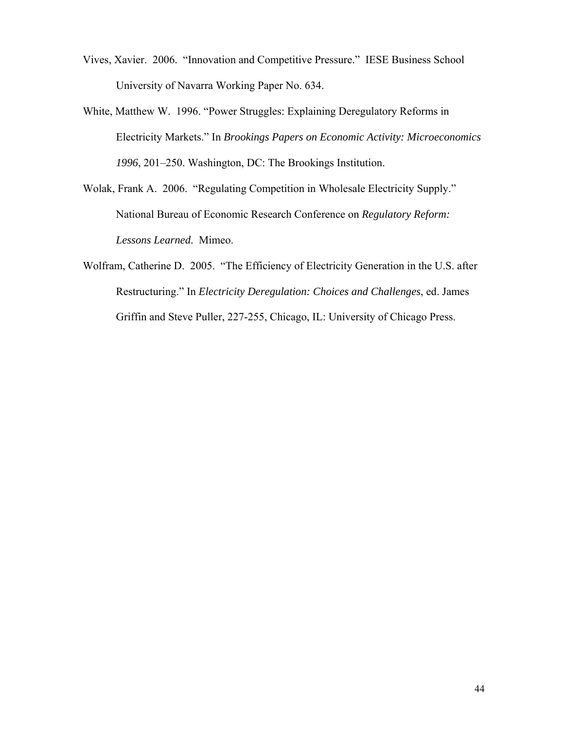- Vives, Xavier. 2006. "Innovation and Competitive Pressure." IESE Business School University of Navarra Working Paper No. 634.
- White, Matthew W. 1996. "Power Struggles: Explaining Deregulatory Reforms in Electricity Markets." In *Brookings Papers on Economic Activity: Microeconomics 1996*, 201–250. Washington, DC: The Brookings Institution.
- Wolak, Frank A. 2006. "Regulating Competition in Wholesale Electricity Supply." National Bureau of Economic Research Conference on *Regulatory Reform: Lessons Learned*. Mimeo.
- Wolfram, Catherine D. 2005. "The Efficiency of Electricity Generation in the U.S. after Restructuring." In *Electricity Deregulation: Choices and Challenges*, ed. James Griffin and Steve Puller, 227-255, Chicago, IL: University of Chicago Press.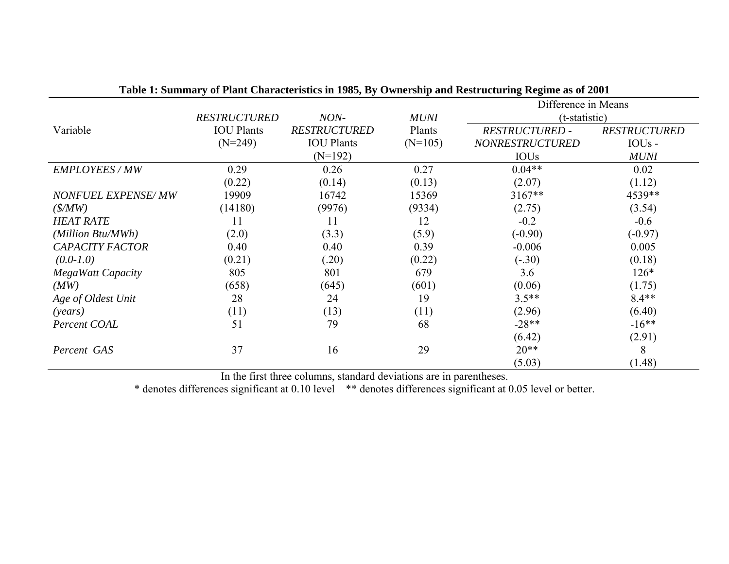|                           |                     |                     |             | Difference in Means    |                     |
|---------------------------|---------------------|---------------------|-------------|------------------------|---------------------|
|                           | <b>RESTRUCTURED</b> | NON-                | <b>MUNI</b> | (t-statistic)          |                     |
| Variable                  | <b>IOU</b> Plants   | <b>RESTRUCTURED</b> | Plants      | <b>RESTRUCTURED -</b>  | <b>RESTRUCTURED</b> |
|                           | $(N=249)$           | <b>IOU</b> Plants   | $(N=105)$   | <b>NONRESTRUCTURED</b> | IOU <sub>s</sub> -  |
|                           |                     | $(N=192)$           |             | <b>IOUs</b>            | <b>MUNI</b>         |
| EMPLOYEES / MW            | 0.29                | 0.26                | 0.27        | $0.04**$               | 0.02                |
|                           | (0.22)              | (0.14)              | (0.13)      | (2.07)                 | (1.12)              |
| <b>NONFUEL EXPENSE/MW</b> | 19909               | 16742               | 15369       | $3167**$               | 4539**              |
| $(\frac{S}{MW})$          | (14180)             | (9976)              | (9334)      | (2.75)                 | (3.54)              |
| <b>HEAT RATE</b>          | 11                  | 11                  | 12          | $-0.2$                 | $-0.6$              |
| (Million Btu/MWh)         | (2.0)               | (3.3)               | (5.9)       | $(-0.90)$              | $(-0.97)$           |
| <b>CAPACITY FACTOR</b>    | 0.40                | 0.40                | 0.39        | $-0.006$               | 0.005               |
| $(0.0-1.0)$               | (0.21)              | (.20)               | (0.22)      | $(-.30)$               | (0.18)              |
| <b>MegaWatt Capacity</b>  | 805                 | 801                 | 679         | 3.6                    | $126*$              |
| (MW)                      | (658)               | (645)               | (601)       | (0.06)                 | (1.75)              |
| Age of Oldest Unit        | 28                  | 24                  | 19          | $3.5**$                | $8.4**$             |
| (years)                   | (11)                | (13)                | (11)        | (2.96)                 | (6.40)              |
| Percent COAL              | 51                  | 79                  | 68          | $-28**$                | $-16**$             |
|                           |                     |                     |             | (6.42)                 | (2.91)              |
| Percent GAS               | 37                  | 16                  | 29          | $20**$                 | 8                   |
|                           |                     |                     |             | (5.03)                 | (1.48)              |

|  | Table 1: Summary of Plant Characteristics in 1985, By Ownership and Restructuring Regime as of 2001 |  |  |  |  |
|--|-----------------------------------------------------------------------------------------------------|--|--|--|--|
|  |                                                                                                     |  |  |  |  |

In the first three columns, standard deviations are in parentheses.

\* denotes differences significant at 0.10 level \*\* denotes differences significant at 0.05 level or better.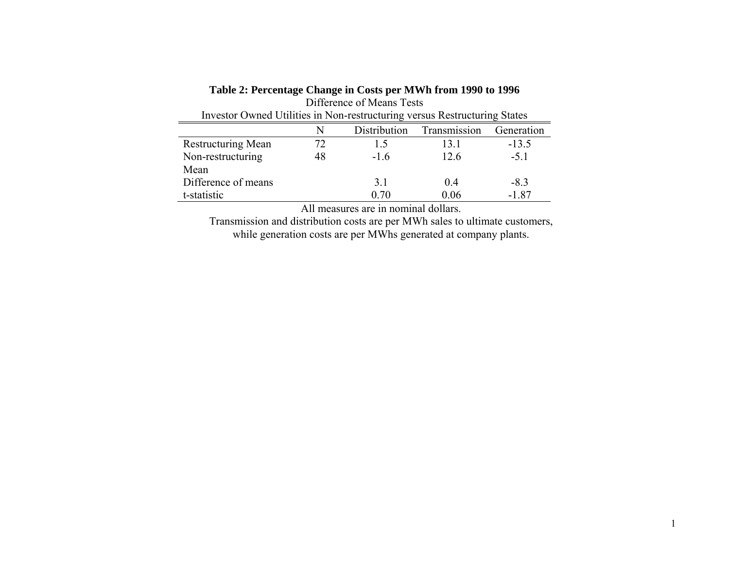### **Table 2: Percentage Change in Costs per MWh from 1990 to 1996**

| Difference of Means Tests |                                                                           |              |              |            |  |  |
|---------------------------|---------------------------------------------------------------------------|--------------|--------------|------------|--|--|
|                           | Investor Owned Utilities in Non-restructuring versus Restructuring States |              |              |            |  |  |
|                           | N                                                                         | Distribution | Transmission | Generation |  |  |
| <b>Restructuring Mean</b> | 72                                                                        | 15           | 13 1         | $-13.5$    |  |  |
| Non-restructuring         | 48                                                                        | $-16$        | 12.6         | $-5.1$     |  |  |
| Mean                      |                                                                           |              |              |            |  |  |
| Difference of means       |                                                                           | 3.1          | 04           | $-8.3$     |  |  |
| t-statistic               |                                                                           | 070          | 0.06         | $-1.87$    |  |  |

All measures are in nominal dollars.

Transmission and distribution costs are per MWh sales to ultimate customers, while generation costs are per MWhs generated at company plants.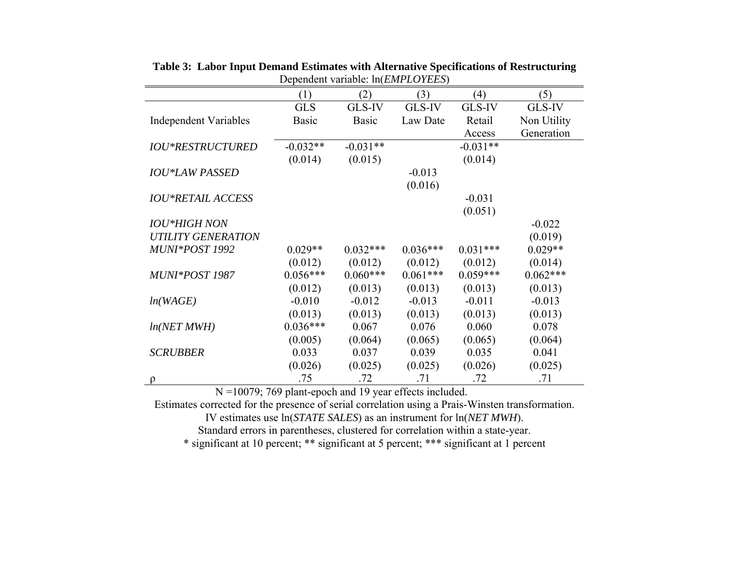|                              | (1)          | (2)          | (3)        | (4)        | (5)         |
|------------------------------|--------------|--------------|------------|------------|-------------|
|                              | <b>GLS</b>   | GLS-IV       | GLS-IV     | GLS-IV     | GLS-IV      |
| <b>Independent Variables</b> | <b>Basic</b> | <b>Basic</b> | Law Date   | Retail     | Non Utility |
|                              |              |              |            | Access     | Generation  |
| <b>IOU*RESTRUCTURED</b>      | $-0.032**$   | $-0.031**$   |            | $-0.031**$ |             |
|                              | (0.014)      | (0.015)      |            | (0.014)    |             |
| <b>IOU*LAW PASSED</b>        |              |              | $-0.013$   |            |             |
|                              |              |              | (0.016)    |            |             |
| <b>IOU*RETAIL ACCESS</b>     |              |              |            | $-0.031$   |             |
|                              |              |              |            | (0.051)    |             |
| <b>IOU*HIGH NON</b>          |              |              |            |            | $-0.022$    |
| <b>UTILITY GENERATION</b>    |              |              |            |            | (0.019)     |
| MUNI*POST 1992               | $0.029**$    | $0.032***$   | $0.036***$ | $0.031***$ | $0.029**$   |
|                              | (0.012)      | (0.012)      | (0.012)    | (0.012)    | (0.014)     |
| MUNI*POST 1987               | $0.056***$   | $0.060***$   | $0.061***$ | $0.059***$ | $0.062***$  |
|                              | (0.012)      | (0.013)      | (0.013)    | (0.013)    | (0.013)     |
| ln(WAGE)                     | $-0.010$     | $-0.012$     | $-0.013$   | $-0.011$   | $-0.013$    |
|                              | (0.013)      | (0.013)      | (0.013)    | (0.013)    | (0.013)     |
| ln(NET MWH)                  | $0.036***$   | 0.067        | 0.076      | 0.060      | 0.078       |
|                              | (0.005)      | (0.064)      | (0.065)    | (0.065)    | (0.064)     |
| <b>SCRUBBER</b>              | 0.033        | 0.037        | 0.039      | 0.035      | 0.041       |
|                              | (0.026)      | (0.025)      | (0.025)    | (0.026)    | (0.025)     |
| $\Omega$                     | .75          | .72          | .71        | .72        | .71         |

**Table 3: Labor Input Demand Estimates with Alternative Specifications of Restructuring**  Dependent variable: ln(*EMPLOYEES*)

N =10079; 769 plant-epoch and 19 year effects included.

Estimates corrected for the presence of serial correlation using a Prais-Winsten transformation. IV estimates use ln(*STATE SALES*) as an instrument for ln(*NET MWH*).

Standard errors in parentheses, clustered for correlation within a state-year.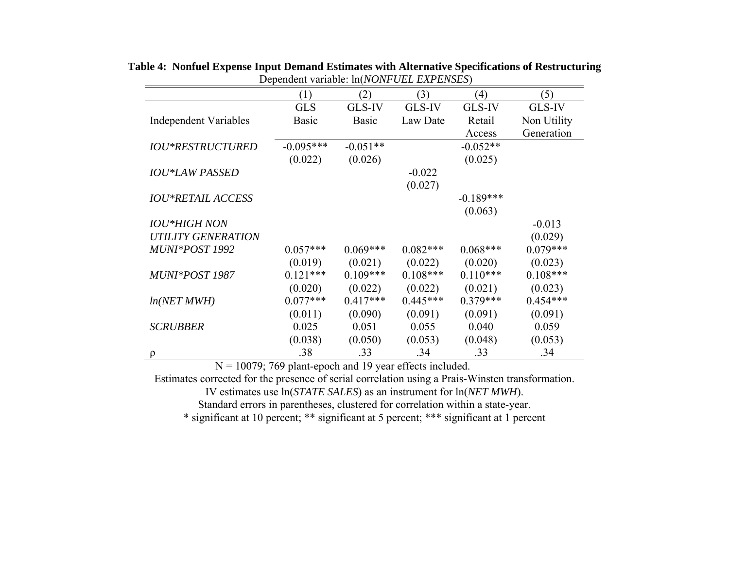|                              | (1)          | (2)          | (3)        | (4)         | (5)         |
|------------------------------|--------------|--------------|------------|-------------|-------------|
|                              | <b>GLS</b>   | GLS-IV       | GLS-IV     | GLS-IV      | GLS-IV      |
| <b>Independent Variables</b> | <b>Basic</b> | <b>Basic</b> | Law Date   | Retail      | Non Utility |
|                              |              |              |            | Access      | Generation  |
| <b>IOU*RESTRUCTURED</b>      | $-0.095***$  | $-0.051**$   |            | $-0.052**$  |             |
|                              | (0.022)      | (0.026)      |            | (0.025)     |             |
| <b>IOU*LAW PASSED</b>        |              |              | $-0.022$   |             |             |
|                              |              |              | (0.027)    |             |             |
| <b>IOU*RETAIL ACCESS</b>     |              |              |            | $-0.189***$ |             |
|                              |              |              |            | (0.063)     |             |
| <b>IOU*HIGH NON</b>          |              |              |            |             | $-0.013$    |
| <b>UTILITY GENERATION</b>    |              |              |            |             | (0.029)     |
| MUNI*POST 1992               | $0.057***$   | $0.069***$   | $0.082***$ | $0.068***$  | $0.079***$  |
|                              | (0.019)      | (0.021)      | (0.022)    | (0.020)     | (0.023)     |
| MUNI*POST 1987               | $0.121***$   | $0.109***$   | $0.108***$ | $0.110***$  | $0.108***$  |
|                              | (0.020)      | (0.022)      | (0.022)    | (0.021)     | (0.023)     |
| ln(NET MWH)                  | $0.077***$   | $0.417***$   | $0.445***$ | $0.379***$  | $0.454***$  |
|                              | (0.011)      | (0.090)      | (0.091)    | (0.091)     | (0.091)     |
| <b>SCRUBBER</b>              | 0.025        | 0.051        | 0.055      | 0.040       | 0.059       |
|                              | (0.038)      | (0.050)      | (0.053)    | (0.048)     | (0.053)     |
|                              | .38          | .33          | .34        | .33         | .34         |

**Table 4: Nonfuel Expense Input Demand Estimates with Alternative Specifications of Restructuring**  Dependent variable: ln(*NONFUEL EXPENSES*)

 $N = 10079$ ; 769 plant-epoch and 19 year effects included.

Estimates corrected for the presence of serial correlation using a Prais-Winsten transformation.

IV estimates use ln(*STATE SALES*) as an instrument for ln(*NET MWH*).

Standard errors in parentheses, clustered for correlation within a state-year.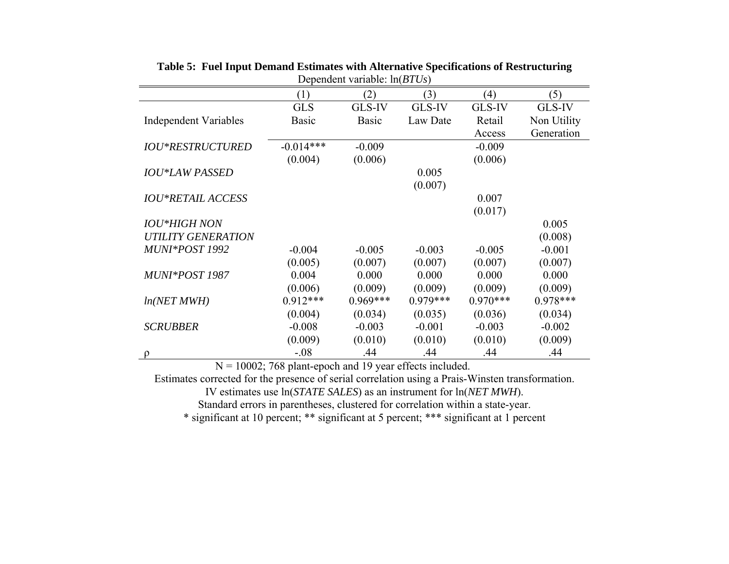|                              | (1)          | (2)          | (3)        | (4)        | (5)           |
|------------------------------|--------------|--------------|------------|------------|---------------|
|                              | <b>GLS</b>   | GLS-IV       | GLS-IV     | GLS-IV     | <b>GLS-IV</b> |
| <b>Independent Variables</b> | <b>Basic</b> | <b>Basic</b> | Law Date   | Retail     | Non Utility   |
|                              |              |              |            | Access     | Generation    |
| <b>IOU*RESTRUCTURED</b>      | $-0.014***$  | $-0.009$     |            | $-0.009$   |               |
|                              | (0.004)      | (0.006)      |            | (0.006)    |               |
| <b>IOU*LAW PASSED</b>        |              |              | 0.005      |            |               |
|                              |              |              | (0.007)    |            |               |
| <b>IOU*RETAIL ACCESS</b>     |              |              |            | 0.007      |               |
|                              |              |              |            | (0.017)    |               |
| <b>IOU*HIGH NON</b>          |              |              |            |            | 0.005         |
| <b>UTILITY GENERATION</b>    |              |              |            |            | (0.008)       |
| MUNI*POST 1992               | $-0.004$     | $-0.005$     | $-0.003$   | $-0.005$   | $-0.001$      |
|                              | (0.005)      | (0.007)      | (0.007)    | (0.007)    | (0.007)       |
| MUNI*POST 1987               | 0.004        | 0.000        | 0.000      | 0.000      | 0.000         |
|                              | (0.006)      | (0.009)      | (0.009)    | (0.009)    | (0.009)       |
| ln(NET MWH)                  | $0.912***$   | $0.969***$   | $0.979***$ | $0.970***$ | $0.978***$    |
|                              | (0.004)      | (0.034)      | (0.035)    | (0.036)    | (0.034)       |
| <b>SCRUBBER</b>              | $-0.008$     | $-0.003$     | $-0.001$   | $-0.003$   | $-0.002$      |
|                              | (0.009)      | (0.010)      | (0.010)    | (0.010)    | (0.009)       |
| Q                            | $-.08$       | .44          | .44        | .44        | .44           |

**Table 5: Fuel Input Demand Estimates with Alternative Specifications of Restructuring**  Dependent variable: ln(*BTUs*)

 $N = 10002$ ; 768 plant-epoch and 19 year effects included.

Estimates corrected for the presence of serial correlation using a Prais-Winsten transformation.

IV estimates use ln(*STATE SALES*) as an instrument for ln(*NET MWH*).

Standard errors in parentheses, clustered for correlation within a state-year.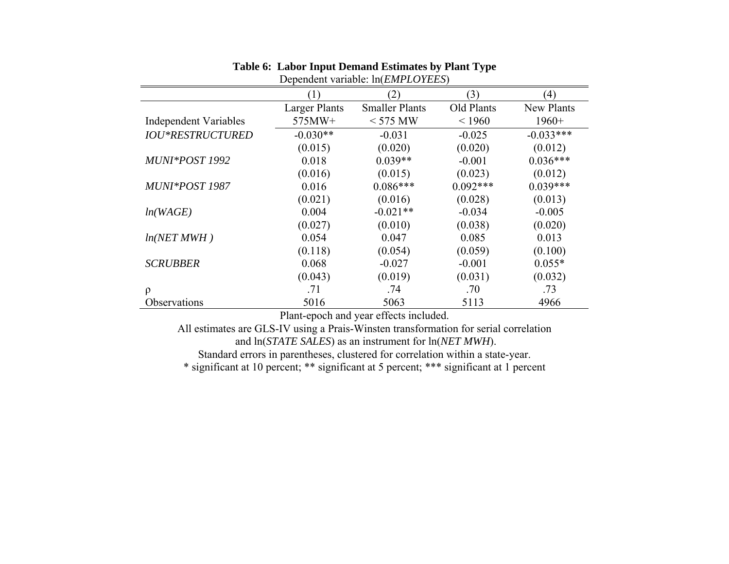|                              | (1)                  | (2)                   | (3)        | (4)         |  |
|------------------------------|----------------------|-----------------------|------------|-------------|--|
|                              | <b>Larger Plants</b> | <b>Smaller Plants</b> | Old Plants | New Plants  |  |
| <b>Independent Variables</b> | 575MW+               | $<$ 575 MW            | < 1960     | $1960+$     |  |
| <b>IOU*RESTRUCTURED</b>      | $-0.030**$           | $-0.031$              | $-0.025$   | $-0.033***$ |  |
|                              | (0.015)              | (0.020)               | (0.020)    | (0.012)     |  |
| MUNI*POST 1992               | 0.018                | $0.039**$             | $-0.001$   | $0.036***$  |  |
|                              | (0.016)              | (0.015)               | (0.023)    | (0.012)     |  |
| MUNI*POST 1987               | 0.016                | $0.086***$            | $0.092***$ | $0.039***$  |  |
|                              | (0.021)              | (0.016)               | (0.028)    | (0.013)     |  |
| ln(WAGE)                     | 0.004                | $-0.021**$            | $-0.034$   | $-0.005$    |  |
|                              | (0.027)              | (0.010)               | (0.038)    | (0.020)     |  |
| ln(NET MWH)                  | 0.054                | 0.047                 | 0.085      | 0.013       |  |
|                              | (0.118)              | (0.054)               | (0.059)    | (0.100)     |  |
| <b>SCRUBBER</b>              | 0.068                | $-0.027$              | $-0.001$   | $0.055*$    |  |
|                              | (0.043)              | (0.019)               | (0.031)    | (0.032)     |  |
| $\rho$                       | .71                  | .74                   | .70        | .73         |  |
| Observations                 | 5016                 | 5063                  | 5113       | 4966        |  |

#### **Table 6: Labor Input Demand Estimates by Plant Type**  Dependent variable: ln(*EMPLOYEES*)

Plant-epoch and year effects included.

All estimates are GLS-IV using a Prais-Winsten transformation for serial correlation and ln(*STATE SALES*) as an instrument for ln(*NET MWH*). Standard errors in parentheses, clustered for correlation within a state-year.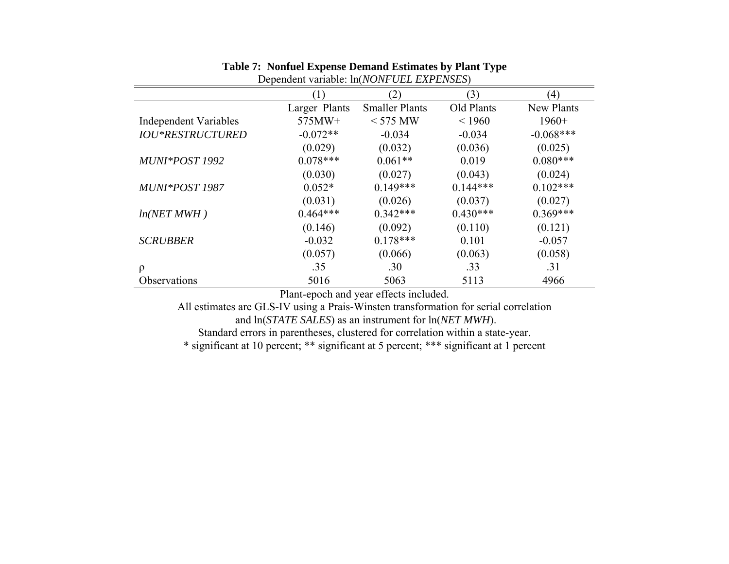| Dependent variable. Intropri OLL LAT Livid D |               |                       |            |             |  |
|----------------------------------------------|---------------|-----------------------|------------|-------------|--|
|                                              | (1)           | (2)                   | (3)        | (4)         |  |
|                                              | Larger Plants | <b>Smaller Plants</b> | Old Plants | New Plants  |  |
| <b>Independent Variables</b>                 | 575MW+        | $<$ 575 MW            | < 1960     | $1960+$     |  |
| <b>IOU*RESTRUCTURED</b>                      | $-0.072**$    | $-0.034$              | $-0.034$   | $-0.068***$ |  |
|                                              | (0.029)       | (0.032)               | (0.036)    | (0.025)     |  |
| MUNI*POST 1992                               | $0.078***$    | $0.061**$             | 0.019      | $0.080***$  |  |
|                                              | (0.030)       | (0.027)               | (0.043)    | (0.024)     |  |
| MUNI*POST 1987                               | $0.052*$      | $0.149***$            | $0.144***$ | $0.102***$  |  |
|                                              | (0.031)       | (0.026)               | (0.037)    | (0.027)     |  |
| ln(NET MWH)                                  | $0.464***$    | $0.342***$            | $0.430***$ | $0.369***$  |  |
|                                              | (0.146)       | (0.092)               | (0.110)    | (0.121)     |  |
| <b>SCRUBBER</b>                              | $-0.032$      | $0.178***$            | 0.101      | $-0.057$    |  |
|                                              | (0.057)       | (0.066)               | (0.063)    | (0.058)     |  |
| $\rho$                                       | .35           | .30                   | .33        | .31         |  |
| Observations                                 | 5016          | 5063                  | 5113       | 4966        |  |

### **Table 7: Nonfuel Expense Demand Estimates by Plant Type**

Dependent variable: ln(*NONFUEL EXPENSES*)

Plant-epoch and year effects included.

All estimates are GLS-IV using a Prais-Winsten transformation for serial correlation and ln(*STATE SALES*) as an instrument for ln(*NET MWH*).

Standard errors in parentheses, clustered for correlation within a state-year.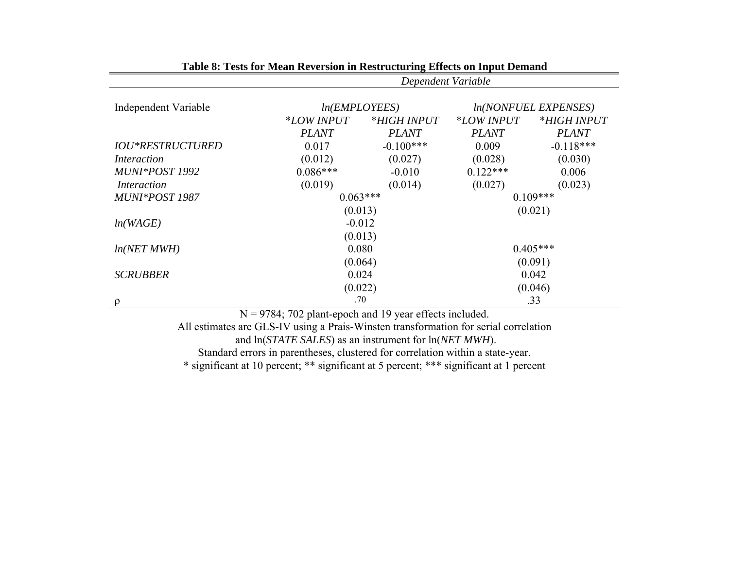| Dependent Variable |                             |                                                                                                   |              |  |
|--------------------|-----------------------------|---------------------------------------------------------------------------------------------------|--------------|--|
|                    |                             | <i>ln(NONFUEL EXPENSES)</i>                                                                       |              |  |
| <i>*LOW INPUT</i>  | <i>*HIGH INPUT</i>          | <i>*LOW INPUT</i>                                                                                 | *HIGH INPUT  |  |
| <b>PLANT</b>       | <b>PLANT</b>                | <b>PLANT</b>                                                                                      | <b>PLANT</b> |  |
| 0.017              | $-0.100***$                 | 0.009                                                                                             | $-0.118***$  |  |
| (0.012)            | (0.027)                     | (0.028)                                                                                           | (0.030)      |  |
| $0.086***$         | $-0.010$                    | $0.122***$                                                                                        | 0.006        |  |
| (0.019)            | (0.014)                     | (0.027)                                                                                           | (0.023)      |  |
|                    |                             | $0.109***$                                                                                        |              |  |
|                    |                             |                                                                                                   | (0.021)      |  |
|                    |                             |                                                                                                   |              |  |
|                    |                             |                                                                                                   |              |  |
|                    |                             | $0.405***$                                                                                        |              |  |
|                    | (0.064)                     |                                                                                                   | (0.091)      |  |
|                    | 0.024                       |                                                                                                   | 0.042        |  |
|                    | (0.022)                     |                                                                                                   | (0.046)      |  |
|                    |                             |                                                                                                   | .33          |  |
|                    | $0.704$ $70.2$ $1$ $1$<br>T | ln(EMPLOYEES)<br>$0.063***$<br>(0.013)<br>$-0.012$<br>(0.013)<br>0.080<br>.70<br>1.1 <sub>0</sub> | $00 \t1 1 1$ |  |

**Table 8: Tests for Mean Reversion in Restructuring Effects on Input Demand**

N = 9784; 702 plant-epoch and 19 year effects included.

All estimates are GLS-IV using a Prais-Winsten transformation for serial correlation

and ln(*STATE SALES*) as an instrument for ln(*NET MWH*).

Standard errors in parentheses, clustered for correlation within a state-year.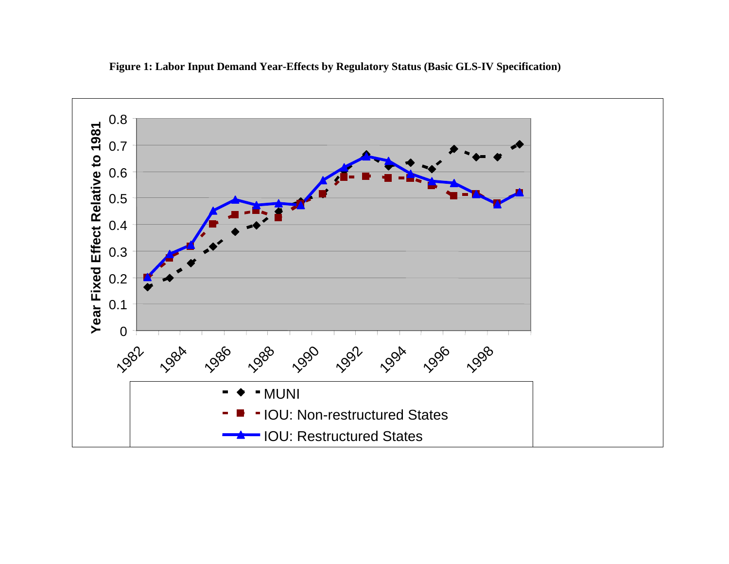

**Figure 1: Labor Input Demand Year-Effects by Regulatory Status (Basic GLS-IV Specification)**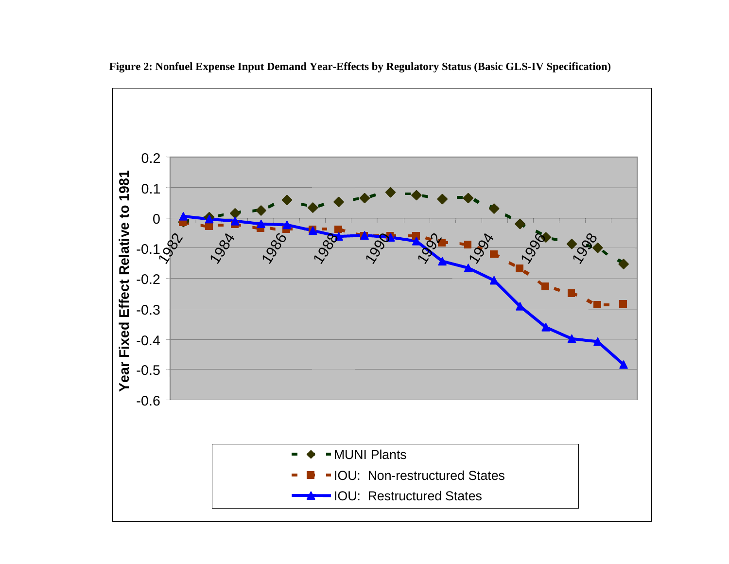

**Figure 2: Nonfuel Expense Input Demand Year-Effects by Regulatory Status (Basic GLS-IV Specification)**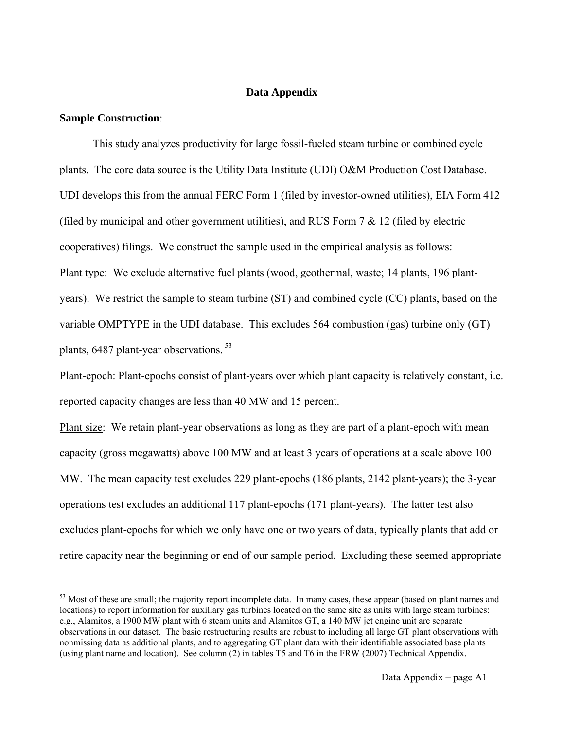### **Data Appendix**

#### **Sample Construction**:

 $\overline{a}$ 

 This study analyzes productivity for large fossil-fueled steam turbine or combined cycle plants. The core data source is the Utility Data Institute (UDI) O&M Production Cost Database. UDI develops this from the annual FERC Form 1 (filed by investor-owned utilities), EIA Form 412 (filed by municipal and other government utilities), and RUS Form  $7 \& 12$  (filed by electric cooperatives) filings. We construct the sample used in the empirical analysis as follows: Plant type: We exclude alternative fuel plants (wood, geothermal, waste; 14 plants, 196 plantyears). We restrict the sample to steam turbine (ST) and combined cycle (CC) plants, based on the variable OMPTYPE in the UDI database. This excludes 564 combustion (gas) turbine only (GT) plants, 6487 plant-year observations.<sup>53</sup>

Plant-epoch: Plant-epochs consist of plant-years over which plant capacity is relatively constant, i.e. reported capacity changes are less than 40 MW and 15 percent.

Plant size: We retain plant-year observations as long as they are part of a plant-epoch with mean capacity (gross megawatts) above 100 MW and at least 3 years of operations at a scale above 100 MW. The mean capacity test excludes 229 plant-epochs (186 plants, 2142 plant-years); the 3-year operations test excludes an additional 117 plant-epochs (171 plant-years). The latter test also excludes plant-epochs for which we only have one or two years of data, typically plants that add or retire capacity near the beginning or end of our sample period. Excluding these seemed appropriate

<sup>&</sup>lt;sup>53</sup> Most of these are small; the majority report incomplete data. In many cases, these appear (based on plant names and locations) to report information for auxiliary gas turbines located on the same site as units with large steam turbines: e.g., Alamitos, a 1900 MW plant with 6 steam units and Alamitos GT, a 140 MW jet engine unit are separate observations in our dataset. The basic restructuring results are robust to including all large GT plant observations with nonmissing data as additional plants, and to aggregating GT plant data with their identifiable associated base plants (using plant name and location). See column (2) in tables T5 and T6 in the FRW (2007) Technical Appendix.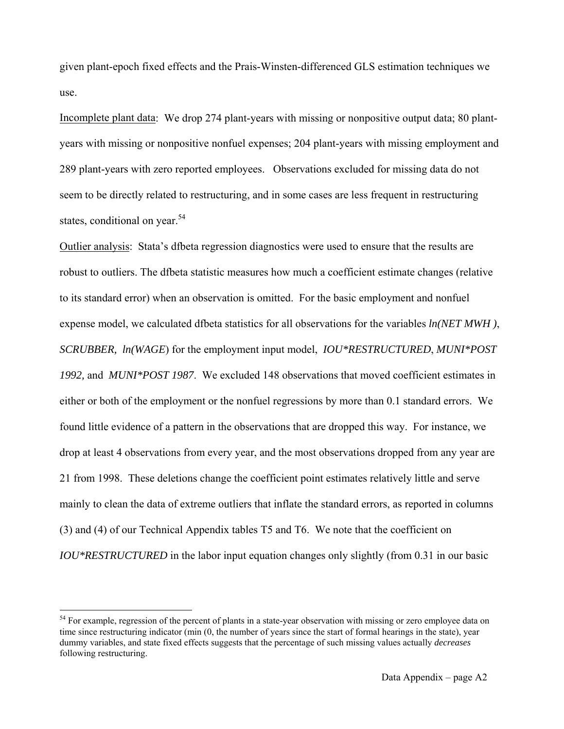given plant-epoch fixed effects and the Prais-Winsten-differenced GLS estimation techniques we use.

Incomplete plant data: We drop 274 plant-years with missing or nonpositive output data; 80 plantyears with missing or nonpositive nonfuel expenses; 204 plant-years with missing employment and 289 plant-years with zero reported employees. Observations excluded for missing data do not seem to be directly related to restructuring, and in some cases are less frequent in restructuring states, conditional on year.<sup>54</sup>

Outlier analysis: Stata's dfbeta regression diagnostics were used to ensure that the results are robust to outliers. The dfbeta statistic measures how much a coefficient estimate changes (relative to its standard error) when an observation is omitted. For the basic employment and nonfuel expense model, we calculated dfbeta statistics for all observations for the variables *ln(NET MWH )*, *SCRUBBER, ln(WAGE*) for the employment input model, *IOU\*RESTRUCTURED*, *MUNI\*POST 1992,* and *MUNI\*POST 1987*. We excluded 148 observations that moved coefficient estimates in either or both of the employment or the nonfuel regressions by more than 0.1 standard errors. We found little evidence of a pattern in the observations that are dropped this way. For instance, we drop at least 4 observations from every year, and the most observations dropped from any year are 21 from 1998. These deletions change the coefficient point estimates relatively little and serve mainly to clean the data of extreme outliers that inflate the standard errors, as reported in columns (3) and (4) of our Technical Appendix tables T5 and T6. We note that the coefficient on *IOU\*RESTRUCTURED* in the labor input equation changes only slightly (from 0.31 in our basic

<sup>&</sup>lt;sup>54</sup> For example, regression of the percent of plants in a state-year observation with missing or zero employee data on time since restructuring indicator (min (0, the number of years since the start of formal hearings in the state), year dummy variables, and state fixed effects suggests that the percentage of such missing values actually *decreases* following restructuring.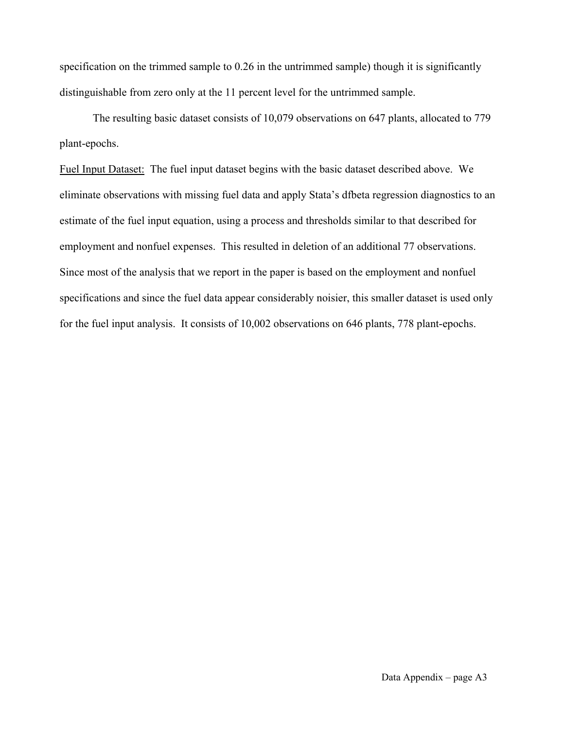specification on the trimmed sample to 0.26 in the untrimmed sample) though it is significantly distinguishable from zero only at the 11 percent level for the untrimmed sample.

 The resulting basic dataset consists of 10,079 observations on 647 plants, allocated to 779 plant-epochs.

Fuel Input Dataset: The fuel input dataset begins with the basic dataset described above. We eliminate observations with missing fuel data and apply Stata's dfbeta regression diagnostics to an estimate of the fuel input equation, using a process and thresholds similar to that described for employment and nonfuel expenses. This resulted in deletion of an additional 77 observations. Since most of the analysis that we report in the paper is based on the employment and nonfuel specifications and since the fuel data appear considerably noisier, this smaller dataset is used only for the fuel input analysis. It consists of 10,002 observations on 646 plants, 778 plant-epochs.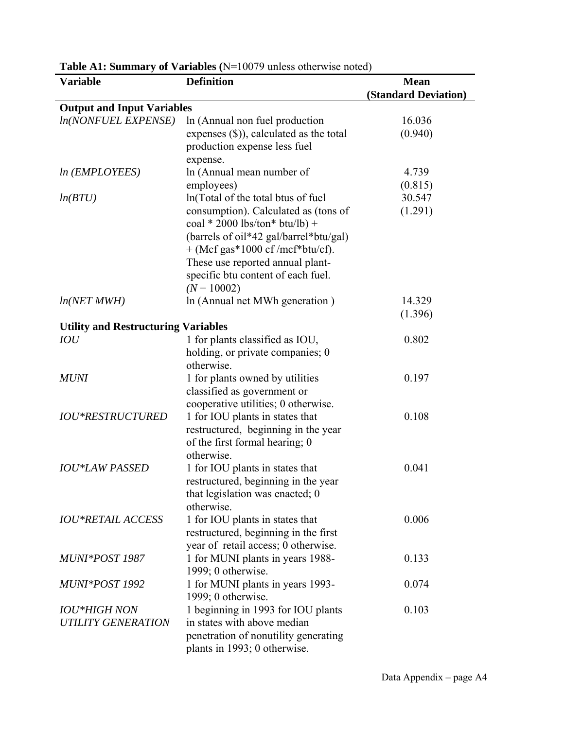| <b>Variable</b>                            | <b>Definition</b>                          | <b>Mean</b>                 |
|--------------------------------------------|--------------------------------------------|-----------------------------|
|                                            |                                            | <b>(Standard Deviation)</b> |
| <b>Output and Input Variables</b>          |                                            |                             |
| <b>ln(NONFUEL EXPENSE)</b>                 | In (Annual non fuel production             | 16.036                      |
|                                            | expenses $(\$)$ ), calculated as the total | (0.940)                     |
|                                            | production expense less fuel               |                             |
|                                            | expense.                                   |                             |
| <i>ln</i> ( <i>EMPLOYEES</i> )             | In (Annual mean number of                  | 4.739                       |
|                                            | employees)                                 | (0.815)                     |
| ln(BTU)                                    | In(Total of the total btus of fuel         | 30.547                      |
|                                            | consumption). Calculated as (tons of       | (1.291)                     |
|                                            | coal * 2000 lbs/ton* btu/lb) +             |                             |
|                                            | (barrels of oil*42 gal/barrel*btu/gal)     |                             |
|                                            | $+$ (Mcf gas*1000 cf/mcf*btu/cf).          |                             |
|                                            | These use reported annual plant-           |                             |
|                                            | specific btu content of each fuel.         |                             |
|                                            | $(N = 10002)$                              |                             |
| ln(NET MWH)                                | In (Annual net MWh generation)             | 14.329                      |
|                                            |                                            | (1.396)                     |
| <b>Utility and Restructuring Variables</b> |                                            |                             |
| IOU                                        | 1 for plants classified as IOU,            | 0.802                       |
|                                            | holding, or private companies; 0           |                             |
|                                            | otherwise.                                 |                             |
| <b>MUNI</b>                                | 1 for plants owned by utilities            | 0.197                       |
|                                            | classified as government or                |                             |
|                                            | cooperative utilities; 0 otherwise.        |                             |
| <b>IOU*RESTRUCTURED</b>                    | 1 for IOU plants in states that            | 0.108                       |
|                                            | restructured, beginning in the year        |                             |
|                                            | of the first formal hearing; 0             |                             |
|                                            | otherwise.                                 |                             |
| <b>IOU*LAW PASSED</b>                      | 1 for IOU plants in states that            | 0.041                       |
|                                            | restructured, beginning in the year        |                             |
|                                            | that legislation was enacted; 0            |                             |
|                                            | otherwise.                                 |                             |
| <b>IOU*RETAIL ACCESS</b>                   | 1 for IOU plants in states that            | 0.006                       |
|                                            | restructured, beginning in the first       |                             |
|                                            | year of retail access; 0 otherwise.        |                             |
| MUNI*POST 1987                             | 1 for MUNI plants in years 1988-           | 0.133                       |
|                                            | 1999; 0 otherwise.                         |                             |
| MUNI*POST 1992                             | 1 for MUNI plants in years 1993-           | 0.074                       |
|                                            | 1999; 0 otherwise.                         |                             |
| <b>IOU*HIGH NON</b>                        | 1 beginning in 1993 for IOU plants         | 0.103                       |
| <b>UTILITY GENERATION</b>                  | in states with above median                |                             |
|                                            | penetration of nonutility generating       |                             |
|                                            | plants in 1993; 0 otherwise.               |                             |

**Table A1: Summary of Variables (**N=10079 unless otherwise noted)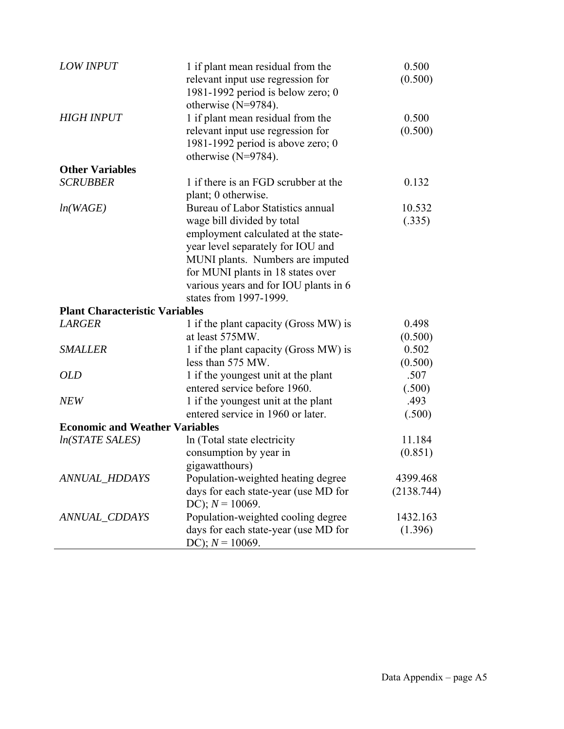| <b>LOW INPUT</b>                      | 1 if plant mean residual from the<br>relevant input use regression for<br>1981-1992 period is below zero; 0<br>otherwise $(N=9784)$ .                                                                                                                         | 0.500<br>(0.500)            |
|---------------------------------------|---------------------------------------------------------------------------------------------------------------------------------------------------------------------------------------------------------------------------------------------------------------|-----------------------------|
| <b>HIGH INPUT</b>                     | 1 if plant mean residual from the<br>relevant input use regression for<br>1981-1992 period is above zero; $0$<br>otherwise $(N=9784)$ .                                                                                                                       | 0.500<br>(0.500)            |
| <b>Other Variables</b>                |                                                                                                                                                                                                                                                               |                             |
| <b>SCRUBBER</b>                       | 1 if there is an FGD scrubber at the<br>plant; 0 otherwise.                                                                                                                                                                                                   | 0.132                       |
| ln(WAGE)                              | Bureau of Labor Statistics annual<br>wage bill divided by total<br>employment calculated at the state-<br>year level separately for IOU and<br>MUNI plants. Numbers are imputed<br>for MUNI plants in 18 states over<br>various years and for IOU plants in 6 | 10.532<br>(.335)            |
| <b>Plant Characteristic Variables</b> | states from 1997-1999.                                                                                                                                                                                                                                        |                             |
|                                       |                                                                                                                                                                                                                                                               |                             |
| <b>LARGER</b>                         | 1 if the plant capacity (Gross MW) is<br>at least 575MW.                                                                                                                                                                                                      | 0.498                       |
| <b>SMALLER</b>                        | 1 if the plant capacity (Gross MW) is<br>less than 575 MW.                                                                                                                                                                                                    | (0.500)<br>0.502<br>(0.500) |
| <b>OLD</b>                            | 1 if the youngest unit at the plant<br>entered service before 1960.                                                                                                                                                                                           | .507<br>(.500)              |
| <b>NEW</b>                            | 1 if the youngest unit at the plant<br>entered service in 1960 or later.                                                                                                                                                                                      | .493<br>(.500)              |
| <b>Economic and Weather Variables</b> |                                                                                                                                                                                                                                                               |                             |
| In(STATE SALES)                       | In (Total state electricity                                                                                                                                                                                                                                   | 11.184                      |
|                                       | consumption by year in<br>gigawatthours)                                                                                                                                                                                                                      | (0.851)                     |
| <b>ANNUAL_HDDAYS</b>                  | Population-weighted heating degree                                                                                                                                                                                                                            | 4399.468                    |
|                                       | days for each state-year (use MD for<br>DC); $N = 10069$ .                                                                                                                                                                                                    | (2138.744)                  |
| ANNUAL_CDDAYS                         | Population-weighted cooling degree<br>days for each state-year (use MD for<br>DC); $N = 10069$ .                                                                                                                                                              | 1432.163<br>(1.396)         |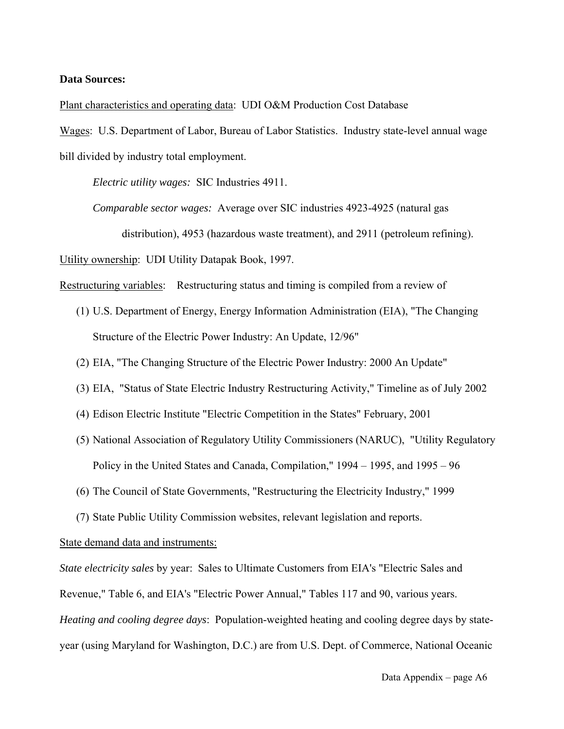#### **Data Sources:**

Plant characteristics and operating data: UDI O&M Production Cost Database

Wages: U.S. Department of Labor, Bureau of Labor Statistics. Industry state-level annual wage bill divided by industry total employment.

*Electric utility wages:* SIC Industries 4911.

*Comparable sector wages:* Average over SIC industries 4923-4925 (natural gas distribution), 4953 (hazardous waste treatment), and 2911 (petroleum refining).

Utility ownership: UDI Utility Datapak Book, 1997.

Restructuring variables: Restructuring status and timing is compiled from a review of

- (1) U.S. Department of Energy, Energy Information Administration (EIA), "The Changing Structure of the Electric Power Industry: An Update, 12/96"
- (2) EIA, "The Changing Structure of the Electric Power Industry: 2000 An Update"
- (3) EIA, "Status of State Electric Industry Restructuring Activity," Timeline as of July 2002
- (4) Edison Electric Institute "Electric Competition in the States" February, 2001
- (5) National Association of Regulatory Utility Commissioners (NARUC), "Utility Regulatory Policy in the United States and Canada, Compilation," 1994 – 1995, and 1995 – 96
- (6) The Council of State Governments, "Restructuring the Electricity Industry," 1999
- (7) State Public Utility Commission websites, relevant legislation and reports.

### State demand data and instruments:

*State electricity sales* by year: Sales to Ultimate Customers from EIA's "Electric Sales and Revenue," Table 6, and EIA's "Electric Power Annual," Tables 117 and 90, various years. *Heating and cooling degree days*: Population-weighted heating and cooling degree days by stateyear (using Maryland for Washington, D.C.) are from U.S. Dept. of Commerce, National Oceanic